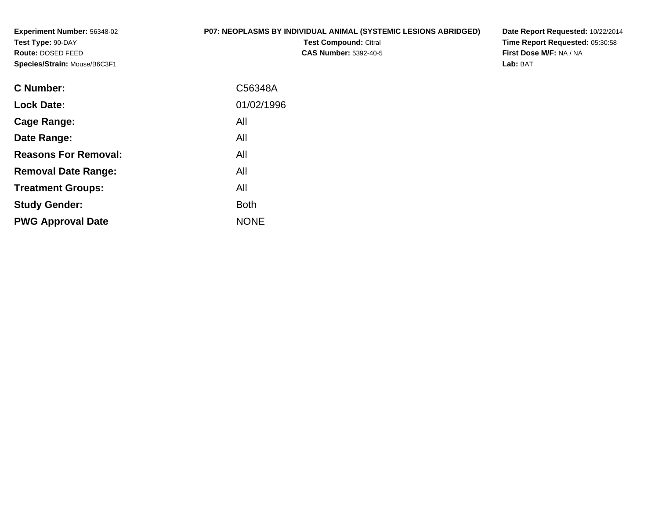**Experiment Number:** 56348-02**Test Type:** 90-DAY **Route:** DOSED FEED**Species/Strain:** Mouse/B6C3F1

# **P07: NEOPLASMS BY INDIVIDUAL ANIMAL (SYSTEMIC LESIONS ABRIDGED)**

**Test Compound:** Citral **CAS Number:** 5392-40-5 **Date Report Requested:** 10/22/2014**Time Report Requested:** 05:30:58**First Dose M/F:** NA / NA**Lab:** BAT

| <b>C</b> Number:            | C56348A     |
|-----------------------------|-------------|
| <b>Lock Date:</b>           | 01/02/1996  |
| Cage Range:                 | All         |
| Date Range:                 | All         |
| <b>Reasons For Removal:</b> | All         |
| <b>Removal Date Range:</b>  | All         |
| <b>Treatment Groups:</b>    | All         |
| <b>Study Gender:</b>        | <b>Both</b> |
| <b>PWG Approval Date</b>    | <b>NONE</b> |
|                             |             |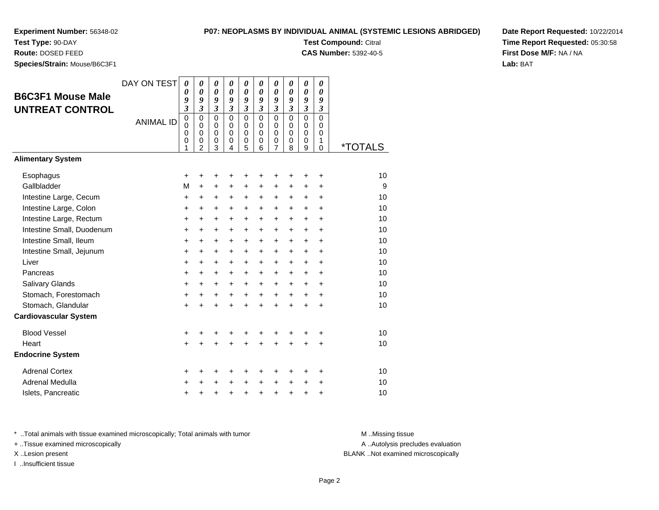# **Experiment Number:** 56348-02**Test Type:** 90-DAY

# **P07: NEOPLASMS BY INDIVIDUAL ANIMAL (SYSTEMIC LESIONS ABRIDGED)**

**Test Compound:** Citral

**CAS Number:** 5392-40-5

**Date Report Requested:** 10/22/2014**Time Report Requested:** 05:30:58**First Dose M/F:** NA / NA**Lab:** BAT

**Route:** DOSED FEED

| Species/Strain: Mouse/B6C3F1 |                  |             |                |                              |                                                |                                         |                                                |                            |                                                |                                         |               |         |
|------------------------------|------------------|-------------|----------------|------------------------------|------------------------------------------------|-----------------------------------------|------------------------------------------------|----------------------------|------------------------------------------------|-----------------------------------------|---------------|---------|
| <b>B6C3F1 Mouse Male</b>     | DAY ON TEST      | 0<br>0      | 0<br>0         | 0<br>$\boldsymbol{\theta}$   | $\boldsymbol{\theta}$<br>$\boldsymbol{\theta}$ | $\pmb{\theta}$<br>$\boldsymbol{\theta}$ | $\boldsymbol{\theta}$<br>$\boldsymbol{\theta}$ | 0<br>$\boldsymbol{\theta}$ | $\boldsymbol{\theta}$<br>$\boldsymbol{\theta}$ | $\pmb{\theta}$<br>$\boldsymbol{\theta}$ | 0<br>0        |         |
|                              |                  | 9<br>3      | 9<br>3         | 9<br>$\overline{\mathbf{3}}$ | 9<br>$\overline{\mathbf{3}}$                   | 9<br>$\mathfrak{z}$                     | 9<br>$\mathfrak{z}$                            | 9<br>$\mathfrak{z}$        | 9<br>$\mathfrak{z}$                            | 9<br>$\mathfrak{z}$                     | 9<br>3        |         |
| <b>UNTREAT CONTROL</b>       |                  | $\mathbf 0$ | $\mathbf 0$    | $\Omega$                     | $\Omega$                                       | $\Omega$                                | $\Omega$                                       | $\mathbf 0$                | $\Omega$                                       | $\mathbf 0$                             | $\mathbf 0$   |         |
|                              | <b>ANIMAL ID</b> | 0           | $\mathbf 0$    | 0                            | 0                                              | 0                                       | 0                                              | 0                          | 0                                              | 0                                       | 0             |         |
|                              |                  | 0<br>0      | 0<br>0         | $\mathbf 0$<br>0             | $\mathbf 0$<br>0                               | $\mathbf 0$<br>0                        | $\mathbf 0$<br>0                               | 0<br>0                     | $\mathbf 0$<br>0                               | $\mathbf 0$<br>0                        | $\Omega$<br>1 |         |
|                              |                  | 1           | $\overline{2}$ | $\overline{3}$               | 4                                              | 5                                       | 6                                              | $\overline{7}$             | 8                                              | 9                                       | $\Omega$      | *TOTALS |
| <b>Alimentary System</b>     |                  |             |                |                              |                                                |                                         |                                                |                            |                                                |                                         |               |         |
| Esophagus                    |                  | +           | +              | +                            | +                                              | +                                       | +                                              | +                          | +                                              | +                                       | +             | 10      |
| Gallbladder                  |                  | M           | $\ddot{}$      | +                            | +                                              | +                                       | +                                              | +                          | $\ddot{}$                                      | +                                       | +             | 9       |
| Intestine Large, Cecum       |                  | $\ddot{}$   | $\ddot{}$      | +                            | +                                              | +                                       | $\ddot{}$                                      | $\ddot{}$                  | $\ddot{}$                                      | $\ddot{}$                               | $\ddot{}$     | 10      |
| Intestine Large, Colon       |                  | +           | +              | +                            | +                                              | $\boldsymbol{+}$                        | $\ddot{}$                                      | +                          | $\ddot{}$                                      | $\ddot{}$                               | $\ddot{}$     | 10      |
| Intestine Large, Rectum      |                  | +           | $\ddot{}$      | +                            | $\ddot{}$                                      | $\ddot{}$                               | $\ddot{}$                                      | $\ddot{}$                  | $\ddot{}$                                      | $\ddot{}$                               | $\ddot{}$     | 10      |
| Intestine Small, Duodenum    |                  | +           | $\ddot{}$      | $\ddot{}$                    | $\ddot{}$                                      | $\ddot{}$                               | $\ddot{}$                                      | $\ddot{}$                  | $\ddot{}$                                      | $\ddot{}$                               | $\ddot{}$     | 10      |
| Intestine Small, Ileum       |                  | +           | $\ddot{}$      | +                            | $\ddot{}$                                      | +                                       | $\ddot{}$                                      | +                          | $\ddot{}$                                      | $\ddot{}$                               | $\ddot{}$     | 10      |
| Intestine Small, Jejunum     |                  | +           | $\ddot{}$      | +                            | $\ddot{}$                                      | $\ddot{}$                               | $\ddot{}$                                      | $\ddot{}$                  | $\ddot{}$                                      | $\ddot{}$                               | $\ddot{}$     | 10      |
| Liver                        |                  | $\ddot{}$   | $\ddot{}$      | +                            | $\ddot{}$                                      | $\ddot{}$                               | $\ddot{}$                                      | $\ddot{}$                  | $\ddot{}$                                      | +                                       | +             | 10      |
| Pancreas                     |                  | $\ddot{}$   | +              | $\ddot{}$                    | $\ddot{}$                                      | $\ddot{}$                               | $\ddot{}$                                      | $\ddot{}$                  | $+$                                            | $\ddot{}$                               | $\ddot{}$     | 10      |
| Salivary Glands              |                  | +           | $\ddot{}$      | +                            | $\ddot{}$                                      | $\ddot{}$                               | $\ddot{}$                                      | $\ddot{}$                  | $\ddot{}$                                      | $\ddot{}$                               | $\ddot{}$     | 10      |
| Stomach, Forestomach         |                  | +           | +              | +                            | +                                              | +                                       | $\ddot{}$                                      | $\ddot{}$                  | $\ddot{}$                                      | $\ddot{}$                               | +             | 10      |
| Stomach, Glandular           |                  | +           | Ł              | $\ddot{}$                    | Ŧ.                                             | $\ddot{}$                               |                                                | $\ddot{}$                  |                                                | $\ddot{}$                               | $\ddot{}$     | 10      |
| <b>Cardiovascular System</b> |                  |             |                |                              |                                                |                                         |                                                |                            |                                                |                                         |               |         |
| <b>Blood Vessel</b>          |                  | +           | +              | +                            | +                                              | +                                       |                                                |                            |                                                | +                                       | +             | 10      |
| Heart                        |                  | $\ddot{}$   | $\ddot{}$      | $\ddot{}$                    | $\ddot{}$                                      | $\ddot{}$                               | $\ddot{}$                                      | $\ddot{}$                  | $\ddot{}$                                      | $\ddot{}$                               | $\ddot{}$     | 10      |
| <b>Endocrine System</b>      |                  |             |                |                              |                                                |                                         |                                                |                            |                                                |                                         |               |         |
| <b>Adrenal Cortex</b>        |                  | +           | +              | +                            | +                                              | +                                       |                                                | +                          | +                                              | +                                       | +             | 10      |
| Adrenal Medulla              |                  | +           |                | +                            | +                                              | +                                       |                                                | +                          | +                                              | +                                       | +             | 10      |
| Islets, Pancreatic           |                  | +           | +              | +                            | +                                              | $\ddot{}$                               | $\ddot{}$                                      | $\ddot{}$                  | $\ddot{}$                                      | $\ddot{}$                               | $\ddot{}$     | 10      |

\* ..Total animals with tissue examined microscopically; Total animals with tumor **M** . Missing tissue M ..Missing tissue

+ ..Tissue examined microscopically

I ..Insufficient tissue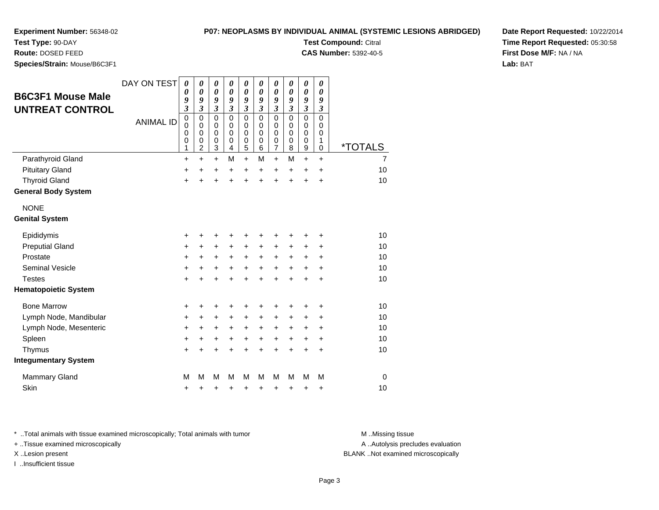**Test Type:** 90-DAY**Route:** DOSED FEED

**Species/Strain:** Mouse/B6C3F1

**Test Compound:** Citral

**CAS Number:** 5392-40-5

**Date Report Requested:** 10/22/2014**Time Report Requested:** 05:30:58**First Dose M/F:** NA / NA**Lab:** BAT

| <b>B6C3F1 Mouse Male</b><br><b>UNTREAT CONTROL</b> | DAY ON TEST<br><b>ANIMAL ID</b> | $\boldsymbol{\theta}$<br>$\boldsymbol{\theta}$<br>9<br>$\mathfrak{z}$<br>$\overline{0}$<br>$\mathbf 0$<br>$\mathbf 0$<br>0<br>1 | 0<br>$\boldsymbol{\theta}$<br>9<br>$\overline{\mathbf{3}}$<br>$\mathbf 0$<br>$\mathbf 0$<br>$\mathbf 0$<br>0<br>$\overline{2}$ | 0<br>$\boldsymbol{\theta}$<br>9<br>$\mathfrak{z}$<br>$\mathbf 0$<br>$\mathbf 0$<br>$\mathbf 0$<br>$\mathbf 0$<br>3 | 0<br>$\boldsymbol{\theta}$<br>9<br>$\mathfrak{z}$<br>$\Omega$<br>$\mathbf 0$<br>$\Omega$<br>$\mathbf 0$<br>$\overline{4}$ | 0<br>$\boldsymbol{\theta}$<br>9<br>$\boldsymbol{\mathfrak{z}}$<br>$\mathbf 0$<br>0<br>$\mathbf 0$<br>$\mathbf 0$<br>5 | 0<br>0<br>9<br>$\mathfrak{z}$<br>$\Omega$<br>$\mathbf 0$<br>$\Omega$<br>0<br>6 | 0<br>$\boldsymbol{\theta}$<br>9<br>$\mathfrak{z}$<br>$\mathbf 0$<br>$\mathbf 0$<br>$\mathbf 0$<br>$\boldsymbol{0}$<br>$\overline{7}$ | 0<br>0<br>9<br>$\mathfrak{z}$<br>$\Omega$<br>$\Omega$<br>$\Omega$<br>0<br>8 | 0<br>$\boldsymbol{\theta}$<br>9<br>$\mathfrak{z}$<br>$\mathbf 0$<br>$\mathbf 0$<br>$\mathbf 0$<br>$\mathbf 0$<br>9 | 0<br>$\boldsymbol{\theta}$<br>9<br>$\boldsymbol{\mathfrak{z}}$<br>$\overline{0}$<br>$\mathbf 0$<br>$\mathbf 0$<br>1<br>$\mathbf 0$ | *TOTALS        |
|----------------------------------------------------|---------------------------------|---------------------------------------------------------------------------------------------------------------------------------|--------------------------------------------------------------------------------------------------------------------------------|--------------------------------------------------------------------------------------------------------------------|---------------------------------------------------------------------------------------------------------------------------|-----------------------------------------------------------------------------------------------------------------------|--------------------------------------------------------------------------------|--------------------------------------------------------------------------------------------------------------------------------------|-----------------------------------------------------------------------------|--------------------------------------------------------------------------------------------------------------------|------------------------------------------------------------------------------------------------------------------------------------|----------------|
| Parathyroid Gland                                  |                                 | +                                                                                                                               | $\ddot{}$                                                                                                                      | +                                                                                                                  | M                                                                                                                         | $\ddot{}$                                                                                                             | M                                                                              | $\ddot{}$                                                                                                                            | M                                                                           | $\ddot{}$                                                                                                          | +                                                                                                                                  | $\overline{7}$ |
| <b>Pituitary Gland</b>                             |                                 | +                                                                                                                               | $\ddot{}$                                                                                                                      | $\ddot{}$                                                                                                          | $\ddot{}$                                                                                                                 | $\ddot{}$                                                                                                             | +                                                                              | $\ddot{}$                                                                                                                            | $\ddot{}$                                                                   | $\ddot{}$                                                                                                          | $\ddot{}$                                                                                                                          | 10             |
| <b>Thyroid Gland</b>                               |                                 | $\ddot{}$                                                                                                                       | $\ddot{}$                                                                                                                      | $\ddot{}$                                                                                                          | ÷                                                                                                                         | $\ddot{}$                                                                                                             | $\ddot{}$                                                                      | $\ddot{}$                                                                                                                            | $\ddot{}$                                                                   | $\ddot{}$                                                                                                          | $\ddot{}$                                                                                                                          | 10             |
| <b>General Body System</b>                         |                                 |                                                                                                                                 |                                                                                                                                |                                                                                                                    |                                                                                                                           |                                                                                                                       |                                                                                |                                                                                                                                      |                                                                             |                                                                                                                    |                                                                                                                                    |                |
| <b>NONE</b>                                        |                                 |                                                                                                                                 |                                                                                                                                |                                                                                                                    |                                                                                                                           |                                                                                                                       |                                                                                |                                                                                                                                      |                                                                             |                                                                                                                    |                                                                                                                                    |                |
| <b>Genital System</b>                              |                                 |                                                                                                                                 |                                                                                                                                |                                                                                                                    |                                                                                                                           |                                                                                                                       |                                                                                |                                                                                                                                      |                                                                             |                                                                                                                    |                                                                                                                                    |                |
| Epididymis                                         |                                 | +                                                                                                                               |                                                                                                                                |                                                                                                                    |                                                                                                                           | +                                                                                                                     | ٠                                                                              | +                                                                                                                                    | ٠                                                                           | +                                                                                                                  | +                                                                                                                                  | 10             |
| <b>Preputial Gland</b>                             |                                 | +                                                                                                                               | +                                                                                                                              | $\ddot{}$                                                                                                          | $\ddot{}$                                                                                                                 | $\ddot{}$                                                                                                             | $\ddot{}$                                                                      | +                                                                                                                                    | ÷                                                                           | +                                                                                                                  | +                                                                                                                                  | 10             |
| Prostate                                           |                                 | +                                                                                                                               | +                                                                                                                              | $\pm$                                                                                                              | $\ddot{}$                                                                                                                 | $\pm$                                                                                                                 | $\ddot{}$                                                                      | +                                                                                                                                    | $\ddot{}$                                                                   | $\ddot{}$                                                                                                          | +                                                                                                                                  | 10             |
| <b>Seminal Vesicle</b>                             |                                 | +                                                                                                                               | +                                                                                                                              | +                                                                                                                  | +                                                                                                                         | +                                                                                                                     | +                                                                              | $\ddot{}$                                                                                                                            | $\ddot{}$                                                                   | +                                                                                                                  | +                                                                                                                                  | 10             |
| <b>Testes</b>                                      |                                 | $\ddot{}$                                                                                                                       |                                                                                                                                | +                                                                                                                  | +                                                                                                                         | $\ddot{}$                                                                                                             | $\ddot{}$                                                                      | $\ddot{}$                                                                                                                            | ÷                                                                           | ÷                                                                                                                  | $\ddot{}$                                                                                                                          | 10             |
| <b>Hematopoietic System</b>                        |                                 |                                                                                                                                 |                                                                                                                                |                                                                                                                    |                                                                                                                           |                                                                                                                       |                                                                                |                                                                                                                                      |                                                                             |                                                                                                                    |                                                                                                                                    |                |
| <b>Bone Marrow</b>                                 |                                 | +                                                                                                                               | +                                                                                                                              | +                                                                                                                  |                                                                                                                           | +                                                                                                                     | +                                                                              | +                                                                                                                                    | +                                                                           | +                                                                                                                  | +                                                                                                                                  | 10             |
| Lymph Node, Mandibular                             |                                 | $\ddot{}$                                                                                                                       | +                                                                                                                              | $\ddot{}$                                                                                                          | +                                                                                                                         | $\ddot{}$                                                                                                             | $\ddot{}$                                                                      | $\ddot{}$                                                                                                                            | $\ddot{}$                                                                   | $\ddot{}$                                                                                                          | $\ddot{}$                                                                                                                          | 10             |
| Lymph Node, Mesenteric                             |                                 | +                                                                                                                               | +                                                                                                                              | $\ddot{}$                                                                                                          | +                                                                                                                         | +                                                                                                                     | +                                                                              | +                                                                                                                                    | $\ddot{}$                                                                   | +                                                                                                                  | +                                                                                                                                  | 10             |
| Spleen                                             |                                 | $\ddot{}$                                                                                                                       | +                                                                                                                              | +                                                                                                                  | +                                                                                                                         | +                                                                                                                     | $\ddot{}$                                                                      | $\ddot{}$                                                                                                                            | $\ddot{}$                                                                   | $\ddot{}$                                                                                                          | $\ddot{}$                                                                                                                          | 10             |
| Thymus                                             |                                 | +                                                                                                                               | +                                                                                                                              | +                                                                                                                  | +                                                                                                                         | $\ddot{}$                                                                                                             | $\ddot{}$                                                                      | $\ddot{}$                                                                                                                            | $\ddot{}$                                                                   | $\ddot{}$                                                                                                          | $\ddot{}$                                                                                                                          | 10             |
| <b>Integumentary System</b>                        |                                 |                                                                                                                                 |                                                                                                                                |                                                                                                                    |                                                                                                                           |                                                                                                                       |                                                                                |                                                                                                                                      |                                                                             |                                                                                                                    |                                                                                                                                    |                |
| <b>Mammary Gland</b>                               |                                 | M                                                                                                                               | М                                                                                                                              | M                                                                                                                  | M                                                                                                                         | M                                                                                                                     | М                                                                              | М                                                                                                                                    | М                                                                           | М                                                                                                                  | М                                                                                                                                  | $\mathbf 0$    |
| <b>Skin</b>                                        |                                 | +                                                                                                                               | +                                                                                                                              | +                                                                                                                  | +                                                                                                                         | +                                                                                                                     | +                                                                              | +                                                                                                                                    | +                                                                           | +                                                                                                                  | +                                                                                                                                  | 10             |

\* ..Total animals with tissue examined microscopically; Total animals with tumor **M** ..Missing tissue M ..Missing tissue

+ ..Tissue examined microscopically

I ..Insufficient tissue

A ..Autolysis precludes evaluation

X ..Lesion present BLANK ..Not examined microscopically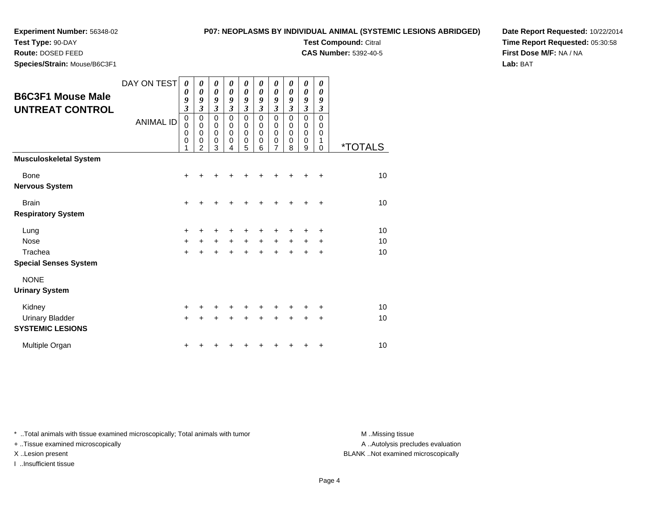**Species/Strain:** Mouse/B6C3F1

**Test Type:** 90-DAY**Route:** DOSED FEED

### **P07: NEOPLASMS BY INDIVIDUAL ANIMAL (SYSTEMIC LESIONS ABRIDGED)**

**Test Compound:** Citral

**CAS Number:** 5392-40-5

**Date Report Requested:** 10/22/2014**Time Report Requested:** 05:30:58**First Dose M/F:** NA / NA**Lab:** BAT

| <b>B6C3F1 Mouse Male</b>                          | DAY ON TEST      | $\boldsymbol{\theta}$<br>0                                    | 0<br>0                                     | 0<br>0                           | 0<br>0                          | 0<br>0                        | 0<br>0                       | 0<br>0                | 0<br>0                       | 0<br>0                | 0<br>0<br>9                  |                       |
|---------------------------------------------------|------------------|---------------------------------------------------------------|--------------------------------------------|----------------------------------|---------------------------------|-------------------------------|------------------------------|-----------------------|------------------------------|-----------------------|------------------------------|-----------------------|
| <b>UNTREAT CONTROL</b>                            |                  | 9<br>$\overline{\mathbf{3}}$                                  | 9<br>$\mathfrak{z}$                        | 9<br>$\boldsymbol{\mathfrak{z}}$ | 9<br>$\mathfrak{z}$             | 9<br>$\mathfrak{z}$           | 9<br>$\mathfrak{z}$          | 9<br>$\mathfrak{z}$   | 9<br>$\mathfrak{z}$          | 9<br>$\mathfrak{z}$   | $\boldsymbol{\beta}$         |                       |
|                                                   | <b>ANIMAL ID</b> | $\mathbf 0$<br>$\mathbf 0$<br>$\mathbf 0$<br>$\mathbf 0$<br>1 | $\pmb{0}$<br>0<br>0<br>0<br>$\overline{2}$ | $\pmb{0}$<br>0<br>0<br>0<br>3    | $\mathbf 0$<br>0<br>0<br>0<br>4 | $\pmb{0}$<br>0<br>0<br>0<br>5 | $\Omega$<br>0<br>0<br>0<br>6 | 0<br>0<br>0<br>0<br>7 | $\Omega$<br>0<br>0<br>0<br>8 | 0<br>0<br>0<br>0<br>9 | $\Omega$<br>0<br>0<br>1<br>0 | <i><b>*TOTALS</b></i> |
| Musculoskeletal System                            |                  |                                                               |                                            |                                  |                                 |                               |                              |                       |                              |                       |                              |                       |
| Bone                                              |                  | ٠                                                             |                                            |                                  |                                 |                               |                              |                       |                              |                       | ٠                            | 10                    |
| Nervous System                                    |                  |                                                               |                                            |                                  |                                 |                               |                              |                       |                              |                       |                              |                       |
| <b>Brain</b>                                      |                  | $\ddot{}$                                                     |                                            |                                  |                                 |                               |                              | +                     |                              | +                     | +                            | 10                    |
| <b>Respiratory System</b>                         |                  |                                                               |                                            |                                  |                                 |                               |                              |                       |                              |                       |                              |                       |
| Lung                                              |                  | +                                                             |                                            |                                  |                                 | +                             |                              | +                     |                              | +                     | ٠                            | 10                    |
| <b>Nose</b>                                       |                  | $\ddot{}$                                                     |                                            | $\ddot{}$                        | $\ddot{}$                       | $\ddot{}$                     | $\ddot{}$                    | $\ddot{}$             | $\ddot{}$                    | +                     | +                            | 10                    |
| Trachea                                           |                  | $\ddot{}$                                                     |                                            |                                  |                                 | ÷                             |                              | +                     |                              | +                     | +                            | 10                    |
| <b>Special Senses System</b>                      |                  |                                                               |                                            |                                  |                                 |                               |                              |                       |                              |                       |                              |                       |
| <b>NONE</b>                                       |                  |                                                               |                                            |                                  |                                 |                               |                              |                       |                              |                       |                              |                       |
| <b>Urinary System</b>                             |                  |                                                               |                                            |                                  |                                 |                               |                              |                       |                              |                       |                              |                       |
| Kidney                                            |                  | $\ddot{}$                                                     |                                            |                                  |                                 |                               |                              |                       |                              |                       | +                            | 10                    |
| <b>Urinary Bladder</b><br><b>SYSTEMIC LESIONS</b> |                  | $\ddot{}$                                                     |                                            |                                  |                                 | +                             | +                            | +                     | +                            | +                     | +                            | 10                    |
| Multiple Organ                                    |                  | +                                                             |                                            |                                  |                                 |                               |                              |                       |                              |                       | +                            | 10                    |

\* ..Total animals with tissue examined microscopically; Total animals with tumor **M** . Missing tissue M ..Missing tissue

+ ..Tissue examined microscopically

I ..Insufficient tissue

A ..Autolysis precludes evaluation

X ..Lesion present BLANK ..Not examined microscopically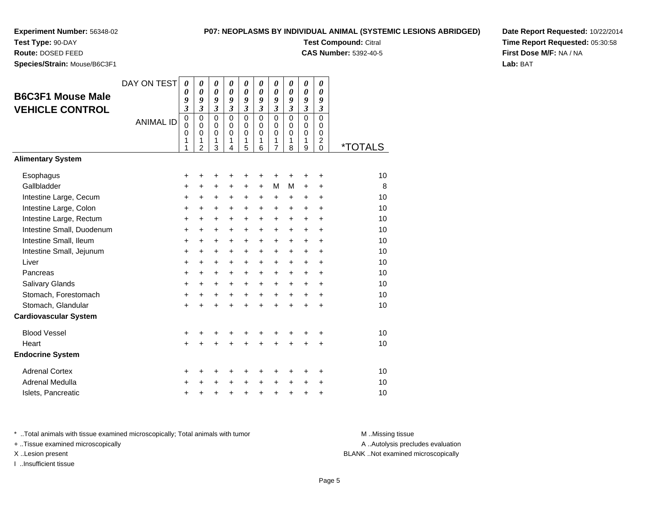### **P07: NEOPLASMS BY INDIVIDUAL ANIMAL (SYSTEMIC LESIONS ABRIDGED)**

**Test Compound:** Citral

**CAS Number:** 5392-40-5

**Date Report Requested:** 10/22/2014**Time Report Requested:** 05:30:58**First Dose M/F:** NA / NA**Lab:** BAT

**Test Type:** 90-DAY **Route:** DOSED FEED**Species/Strain:** Mouse/B6C3F1

| <b>B6C3F1 Mouse Male</b><br><b>VEHICLE CONTROL</b> | DAY ON TEST      | $\boldsymbol{\theta}$<br>$\boldsymbol{\theta}$<br>9<br>$\mathfrak{z}$ | $\boldsymbol{\theta}$<br>$\boldsymbol{\theta}$<br>9<br>$\mathfrak{z}$ | $\boldsymbol{\theta}$<br>$\boldsymbol{\theta}$<br>9<br>$\mathfrak{z}$ | 0<br>$\boldsymbol{\theta}$<br>9<br>$\mathfrak{z}$ | 0<br>$\boldsymbol{\theta}$<br>9<br>$\mathfrak{z}$ | 0<br>$\boldsymbol{\theta}$<br>9<br>$\mathfrak{z}$ | 0<br>$\boldsymbol{\theta}$<br>9<br>$\boldsymbol{\beta}$ | 0<br>0<br>9<br>$\overline{\mathbf{3}}$        | 0<br>$\boldsymbol{\theta}$<br>9<br>$\boldsymbol{\beta}$ | 0<br>$\boldsymbol{\theta}$<br>9<br>$\boldsymbol{\beta}$ |                       |
|----------------------------------------------------|------------------|-----------------------------------------------------------------------|-----------------------------------------------------------------------|-----------------------------------------------------------------------|---------------------------------------------------|---------------------------------------------------|---------------------------------------------------|---------------------------------------------------------|-----------------------------------------------|---------------------------------------------------------|---------------------------------------------------------|-----------------------|
|                                                    | <b>ANIMAL ID</b> | $\mathbf 0$<br>$\mathbf 0$<br>$\mathbf 0$<br>1<br>1                   | $\Omega$<br>$\mathbf 0$<br>$\mathbf 0$<br>1<br>$\overline{2}$         | $\Omega$<br>$\mathbf 0$<br>$\mathbf 0$<br>1<br>3                      | $\Omega$<br>$\Omega$<br>$\mathbf 0$<br>1<br>4     | $\Omega$<br>$\mathbf 0$<br>$\mathbf 0$<br>1<br>5  | $\Omega$<br>$\Omega$<br>$\Omega$<br>1<br>6        | $\mathbf 0$<br>0<br>$\mathbf 0$<br>1<br>$\overline{7}$  | $\Omega$<br>$\Omega$<br>$\mathbf 0$<br>1<br>8 | $\Omega$<br>0<br>$\mathbf 0$<br>1<br>9                  | $\Omega$<br>$\Omega$<br>$\mathbf 0$<br>2<br>$\Omega$    | <i><b>*TOTALS</b></i> |
| <b>Alimentary System</b>                           |                  |                                                                       |                                                                       |                                                                       |                                                   |                                                   |                                                   |                                                         |                                               |                                                         |                                                         |                       |
| Esophagus                                          |                  | +                                                                     | +                                                                     | +                                                                     | +                                                 | +                                                 | +                                                 | +                                                       | +                                             | +                                                       | +                                                       | 10                    |
| Gallbladder                                        |                  | +                                                                     | +                                                                     | +                                                                     | +                                                 | +                                                 | $\ddot{}$                                         | М                                                       | м                                             | +                                                       | $\ddot{}$                                               | 8                     |
| Intestine Large, Cecum                             |                  | $\pmb{+}$                                                             | +                                                                     | +                                                                     | +                                                 | $\ddot{}$                                         | $\ddot{}$                                         | $\ddot{}$                                               | +                                             | +                                                       | $\ddot{}$                                               | 10                    |
| Intestine Large, Colon                             |                  | $\ddot{}$                                                             | $\ddot{}$                                                             | $\ddot{}$                                                             | $\ddot{}$                                         | $\ddot{}$                                         | $\ddot{}$                                         | $\ddot{}$                                               | $\ddot{}$                                     | $\ddot{}$                                               | $\ddot{}$                                               | 10                    |
| Intestine Large, Rectum                            |                  | $\ddot{}$                                                             | $+$                                                                   | $+$                                                                   | $\ddot{}$                                         | $\ddot{}$                                         | $+$                                               | $+$                                                     | $\ddot{}$                                     | $+$                                                     | $\ddot{}$                                               | 10                    |
| Intestine Small, Duodenum                          |                  | $\ddot{}$                                                             | $\ddot{}$                                                             | $\ddot{}$                                                             | $\ddot{}$                                         | $\ddot{}$                                         | $\ddot{}$                                         | $\ddot{}$                                               | $\ddot{}$                                     | $+$                                                     | $\ddot{}$                                               | 10                    |
| Intestine Small, Ileum                             |                  | +                                                                     | +                                                                     | $\ddot{}$                                                             | $\ddot{}$                                         | +                                                 | $\ddot{}$                                         | +                                                       | +                                             | $\ddot{}$                                               | +                                                       | 10                    |
| Intestine Small, Jejunum                           |                  | $\pmb{+}$                                                             | $\ddot{}$                                                             | $\ddot{}$                                                             | $\ddot{}$                                         | +                                                 | +                                                 | +                                                       | $\pm$                                         | $\ddot{}$                                               | $\ddot{}$                                               | 10                    |
| Liver                                              |                  | $\pmb{+}$                                                             | $\ddot{}$                                                             | $\ddot{}$                                                             | $\ddot{}$                                         | $\ddot{}$                                         | $\ddot{}$                                         | $\ddot{}$                                               | +                                             | $\ddot{}$                                               | $\ddot{}$                                               | 10                    |
| Pancreas                                           |                  | $\ddot{}$                                                             | $\ddot{}$                                                             | $+$                                                                   | $\ddot{}$                                         | $\ddot{}$                                         | $\ddot{}$                                         | $+$                                                     | $+$                                           | $+$                                                     | $\ddot{}$                                               | 10                    |
| <b>Salivary Glands</b>                             |                  | $\ddot{}$                                                             | $\ddot{}$                                                             | $\ddot{}$                                                             | $\ddot{}$                                         | $\ddot{}$                                         | $\ddot{}$                                         | $\ddot{}$                                               | $+$                                           | $+$                                                     | $\ddot{}$                                               | 10                    |
| Stomach, Forestomach                               |                  | $\pmb{+}$                                                             | $\ddot{}$                                                             | +                                                                     | $\ddot{}$                                         | $\ddot{}$                                         | $\ddot{}$                                         | $\ddot{}$                                               | $\ddot{}$                                     | $\ddot{}$                                               | $\ddot{}$                                               | 10                    |
| Stomach, Glandular                                 |                  | $\ddot{}$                                                             |                                                                       | $\ddot{}$                                                             | $\ddot{}$                                         | $\ddot{}$                                         | ÷                                                 | $\ddot{}$                                               | $\ddot{}$                                     | $\ddot{}$                                               | $\ddot{}$                                               | 10                    |
| <b>Cardiovascular System</b>                       |                  |                                                                       |                                                                       |                                                                       |                                                   |                                                   |                                                   |                                                         |                                               |                                                         |                                                         |                       |
| <b>Blood Vessel</b>                                |                  | $\ddot{}$                                                             |                                                                       |                                                                       |                                                   | +                                                 |                                                   |                                                         |                                               |                                                         | +                                                       | 10                    |
| Heart                                              |                  | $\ddot{}$                                                             |                                                                       | $\ddot{}$                                                             | $\ddot{}$                                         | $\ddot{}$                                         | $\ddot{}$                                         | $\ddot{}$                                               | $\ddot{}$                                     | $\ddot{}$                                               | $\ddot{}$                                               | 10                    |
| <b>Endocrine System</b>                            |                  |                                                                       |                                                                       |                                                                       |                                                   |                                                   |                                                   |                                                         |                                               |                                                         |                                                         |                       |
| <b>Adrenal Cortex</b>                              |                  | +                                                                     | +                                                                     | +                                                                     | +                                                 | +                                                 | +                                                 | +                                                       | +                                             | +                                                       | +                                                       | 10                    |
| <b>Adrenal Medulla</b>                             |                  | $\ddot{}$                                                             |                                                                       | $\ddot{}$                                                             | $\ddot{}$                                         | $\ddot{}$                                         | $\ddot{}$                                         | +                                                       | $\ddot{}$                                     | $\ddot{}$                                               | +                                                       | 10                    |
| Islets, Pancreatic                                 |                  | $\ddot{}$                                                             | +                                                                     | +                                                                     | +                                                 | +                                                 | $\ddot{}$                                         | +                                                       | $\ddot{}$                                     | +                                                       | +                                                       | 10                    |

\* ..Total animals with tissue examined microscopically; Total animals with tumor **M** . Missing tissue M ..Missing tissue

+ ..Tissue examined microscopically

I ..Insufficient tissue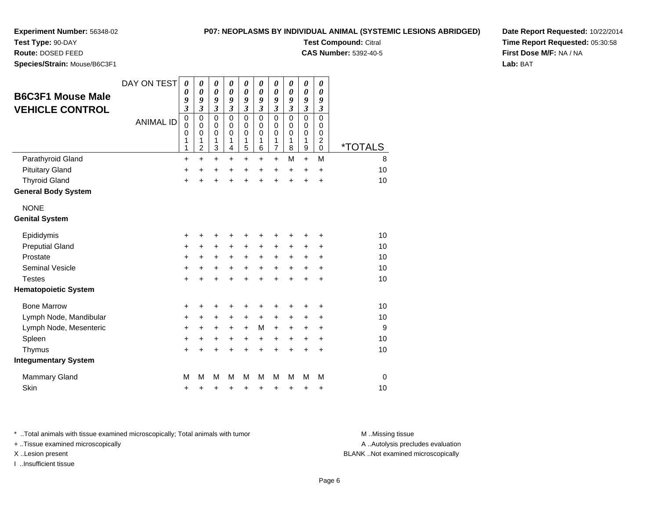**Test Type:** 90-DAY

**Route:** DOSED FEED

**Species/Strain:** Mouse/B6C3F1

| P07: NEOPLASMS BY INDIVIDUAL ANIMAL (SYSTEMIC LESIONS ABRIDGED) |  |  |  |
|-----------------------------------------------------------------|--|--|--|
|                                                                 |  |  |  |

**Test Compound:** Citral

**CAS Number:** 5392-40-5

**Date Report Requested:** 10/22/2014**Time Report Requested:** 05:30:58**First Dose M/F:** NA / NA**Lab:** BAT

|                             | DAY ON TEST      | $\boldsymbol{\theta}$<br>0 | 0<br>0                   | 0<br>$\boldsymbol{\theta}$ | 0<br>$\boldsymbol{\theta}$ | 0<br>$\boldsymbol{\theta}$ | 0<br>0                     | 0<br>$\boldsymbol{\theta}$ | 0<br>$\boldsymbol{\theta}$  | 0<br>$\boldsymbol{\theta}$ | 0<br>0                       |                       |
|-----------------------------|------------------|----------------------------|--------------------------|----------------------------|----------------------------|----------------------------|----------------------------|----------------------------|-----------------------------|----------------------------|------------------------------|-----------------------|
| <b>B6C3F1 Mouse Male</b>    |                  | 9                          | 9                        | 9                          | 9                          | 9                          | 9                          | 9                          | 9                           | 9                          | 9                            |                       |
| <b>VEHICLE CONTROL</b>      |                  | $\overline{\mathbf{3}}$    | $\mathfrak{z}$           | $\mathfrak{z}$             | $\mathfrak{z}$             | $\mathfrak{z}$             | $\mathfrak{z}$             | $\mathfrak{z}$             | $\boldsymbol{\mathfrak{z}}$ | $\mathfrak{z}$             | $\boldsymbol{\mathfrak{z}}$  |                       |
|                             | <b>ANIMAL ID</b> | $\mathbf 0$<br>0           | $\mathbf 0$<br>$\pmb{0}$ | $\mathbf 0$<br>$\mathbf 0$ | $\mathbf 0$<br>$\pmb{0}$   | $\mathbf 0$<br>$\mathbf 0$ | $\mathbf 0$<br>$\mathbf 0$ | $\mathbf 0$<br>$\pmb{0}$   | $\mathbf 0$<br>$\mathbf 0$  | $\mathbf 0$<br>$\mathbf 0$ | $\mathbf 0$<br>$\mathbf 0$   |                       |
|                             |                  | 0                          | $\mathbf 0$              | $\mathbf 0$                | $\mathbf 0$                | 0                          | $\mathbf 0$                | 0                          | 0                           | $\mathbf 0$                | 0                            |                       |
|                             |                  | 1<br>1                     | 1<br>$\overline{c}$      | 1<br>3                     | 1<br>4                     | 1<br>5                     | 1<br>6                     | 1<br>$\overline{7}$        | 1<br>8                      | 1<br>$\mathsf g$           | $\overline{\mathbf{c}}$<br>0 | <i><b>*TOTALS</b></i> |
| Parathyroid Gland           |                  | $\ddot{}$                  | $\ddot{}$                | $\ddot{}$                  | $\ddot{}$                  | $\ddot{}$                  | $\ddot{}$                  | $\ddot{}$                  | M                           | $\ddot{}$                  | M                            | 8                     |
| <b>Pituitary Gland</b>      |                  | +                          | +                        | +                          | +                          | +                          | +                          | +                          | +                           | +                          | $\pm$                        | 10                    |
| <b>Thyroid Gland</b>        |                  | $\ddot{}$                  |                          | $\ddot{}$                  |                            | $\ddot{}$                  | $\ddot{}$                  | $\ddot{}$                  | $\ddot{}$                   | $\ddot{}$                  | $\ddot{}$                    | 10                    |
| <b>General Body System</b>  |                  |                            |                          |                            |                            |                            |                            |                            |                             |                            |                              |                       |
| <b>NONE</b>                 |                  |                            |                          |                            |                            |                            |                            |                            |                             |                            |                              |                       |
| <b>Genital System</b>       |                  |                            |                          |                            |                            |                            |                            |                            |                             |                            |                              |                       |
| Epididymis                  |                  | +                          |                          | +                          | +                          | +                          | +                          | +                          | +                           | +                          | +                            | 10                    |
| <b>Preputial Gland</b>      |                  | $\ddot{}$                  | ٠                        | +                          | $\pm$                      | +                          | +                          | +                          | +                           | +                          | +                            | 10                    |
| Prostate                    |                  | +                          | +                        | +                          | +                          | +                          | +                          | +                          | +                           | +                          | +                            | 10                    |
| <b>Seminal Vesicle</b>      |                  | $\ddot{}$                  | +                        | $\ddot{}$                  | $\ddot{}$                  | $\ddot{}$                  | $\ddot{}$                  | $\ddot{}$                  | $\ddot{}$                   | $\ddot{}$                  | $\ddot{}$                    | 10                    |
| <b>Testes</b>               |                  | $\ddot{}$                  |                          | +                          |                            | ÷                          | $\ddot{}$                  | $\ddot{}$                  | $\ddot{}$                   | $\ddot{}$                  | $\ddot{}$                    | 10                    |
| <b>Hematopoietic System</b> |                  |                            |                          |                            |                            |                            |                            |                            |                             |                            |                              |                       |
| <b>Bone Marrow</b>          |                  | +                          | +                        | +                          |                            | +                          | +                          | +                          |                             |                            | +                            | 10                    |
| Lymph Node, Mandibular      |                  | +                          | $\ddot{}$                | +                          | $\pm$                      | $\ddot{}$                  | $\pm$                      | +                          | +                           | ÷                          | ٠                            | 10                    |
| Lymph Node, Mesenteric      |                  | +                          | $\ddot{}$                | $\ddot{}$                  | +                          | $\ddot{}$                  | M                          | $\ddot{}$                  | $\ddot{}$                   | $\ddot{}$                  | $\ddot{}$                    | 9                     |
| Spleen                      |                  | $\ddot{}$                  | +                        | +                          | $\ddot{}$                  | +                          | $\ddot{}$                  | $\ddot{}$                  | +                           | $\ddot{}$                  | $\ddot{}$                    | 10                    |
| Thymus                      |                  | +                          |                          |                            |                            | +                          | +                          | +                          | +                           | +                          | +                            | 10                    |
| <b>Integumentary System</b> |                  |                            |                          |                            |                            |                            |                            |                            |                             |                            |                              |                       |
| <b>Mammary Gland</b>        |                  | M                          | М                        | M                          | м                          | M                          | М                          | М                          | м                           | М                          | М                            | 0                     |
| Skin                        |                  | +                          | +                        | +                          | +                          | +                          | +                          | +                          | +                           | +                          | +                            | 10                    |

\* ..Total animals with tissue examined microscopically; Total animals with tumor **M** . Missing tissue M ..Missing tissue

+ ..Tissue examined microscopically

I ..Insufficient tissue

A ..Autolysis precludes evaluation

X ..Lesion present BLANK ..Not examined microscopically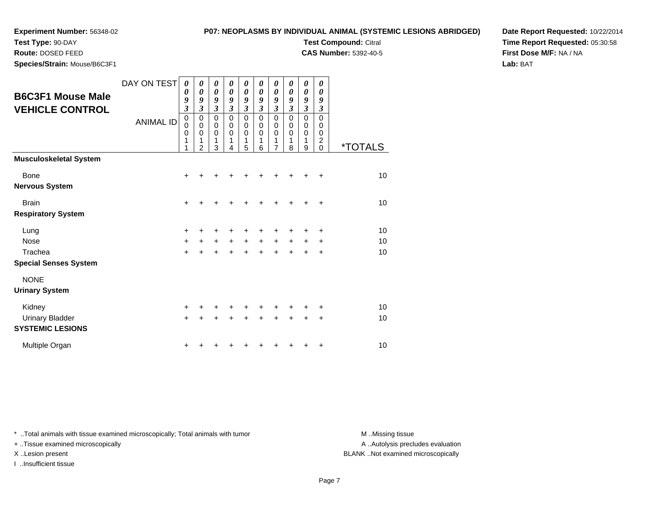**Test Type:** 90-DAY**Route:** DOSED FEED

**Species/Strain:** Mouse/B6C3F1

### **P07: NEOPLASMS BY INDIVIDUAL ANIMAL (SYSTEMIC LESIONS ABRIDGED)**

**Test Compound:** Citral

**CAS Number:** 5392-40-5

**Date Report Requested:** 10/22/2014**Time Report Requested:** 05:30:58**First Dose M/F:** NA / NA**Lab:** BAT

| <b>B6C3F1 Mouse Male</b><br><b>VEHICLE CONTROL</b>             | DAY ON TEST<br><b>ANIMAL ID</b> | 0<br>$\boldsymbol{\theta}$<br>9<br>3<br>$\pmb{0}$<br>$\mathbf 0$<br>$\mathbf 0$<br>1<br>1 | 0<br>$\boldsymbol{\theta}$<br>9<br>3<br>0<br>$\mathbf 0$<br>$\mathbf 0$<br>1<br>$\overline{2}$ | 0<br>$\boldsymbol{\theta}$<br>9<br>$\mathfrak{z}$<br>0<br>$\pmb{0}$<br>$\pmb{0}$<br>1<br>3 | 0<br>$\boldsymbol{\theta}$<br>9<br>$\mathfrak{z}$<br>$\mathbf 0$<br>$\mathbf 0$<br>$\mathbf 0$<br>1<br>4 | 0<br>0<br>9<br>$\mathfrak{z}$<br>$\mathbf 0$<br>$\mathbf 0$<br>$\mathbf 0$<br>1<br>5 | 0<br>$\boldsymbol{\theta}$<br>9<br>$\mathfrak{z}$<br>$\Omega$<br>$\mathbf 0$<br>$\mathbf 0$<br>1<br>6 | 0<br>$\boldsymbol{\theta}$<br>9<br>$\mathfrak{z}$<br>$\mathbf 0$<br>$\mathbf 0$<br>$\mathbf 0$<br>1<br>7 | 0<br>$\boldsymbol{\theta}$<br>9<br>3<br>$\Omega$<br>$\mathbf 0$<br>$\mathbf 0$<br>1<br>8 | 0<br>$\pmb{\theta}$<br>9<br>3<br>$\mathbf 0$<br>$\mathbf 0$<br>$\mathbf 0$<br>1<br>9 | 0<br>$\boldsymbol{\theta}$<br>9<br>$\mathfrak{z}$<br>$\mathbf 0$<br>$\mathbf 0$<br>0<br>$\overline{c}$<br>0 | <i><b>*TOTALS</b></i> |
|----------------------------------------------------------------|---------------------------------|-------------------------------------------------------------------------------------------|------------------------------------------------------------------------------------------------|--------------------------------------------------------------------------------------------|----------------------------------------------------------------------------------------------------------|--------------------------------------------------------------------------------------|-------------------------------------------------------------------------------------------------------|----------------------------------------------------------------------------------------------------------|------------------------------------------------------------------------------------------|--------------------------------------------------------------------------------------|-------------------------------------------------------------------------------------------------------------|-----------------------|
| <b>Musculoskeletal System</b>                                  |                                 |                                                                                           |                                                                                                |                                                                                            |                                                                                                          |                                                                                      |                                                                                                       |                                                                                                          |                                                                                          |                                                                                      |                                                                                                             |                       |
| Bone<br><b>Nervous System</b>                                  |                                 | $\ddot{}$                                                                                 |                                                                                                |                                                                                            |                                                                                                          |                                                                                      |                                                                                                       | ┿                                                                                                        | ٠                                                                                        |                                                                                      | ÷                                                                                                           | 10                    |
| <b>Brain</b><br><b>Respiratory System</b>                      |                                 | $\ddot{}$                                                                                 |                                                                                                |                                                                                            |                                                                                                          |                                                                                      |                                                                                                       |                                                                                                          |                                                                                          |                                                                                      | +                                                                                                           | 10                    |
| Lung<br><b>Nose</b><br>Trachea<br><b>Special Senses System</b> |                                 | +<br>$\ddot{}$<br>$\ddot{}$                                                               | $\ddot{}$                                                                                      | +                                                                                          | $\ddot{}$                                                                                                | +<br>$+$<br>$\ddot{}$                                                                | +<br>$+$<br>$\ddot{}$                                                                                 | +<br>$\ddot{}$<br>$\ddot{}$                                                                              | +<br>$\ddot{}$<br>$\ddot{}$                                                              | +<br>+<br>$\ddot{}$                                                                  | ÷<br>+<br>$\ddot{}$                                                                                         | 10<br>10<br>10        |
| <b>NONE</b><br><b>Urinary System</b>                           |                                 |                                                                                           |                                                                                                |                                                                                            |                                                                                                          |                                                                                      |                                                                                                       |                                                                                                          |                                                                                          |                                                                                      |                                                                                                             |                       |
| Kidney<br><b>Urinary Bladder</b><br><b>SYSTEMIC LESIONS</b>    |                                 | $\ddot{}$<br>$\ddot{}$                                                                    |                                                                                                |                                                                                            |                                                                                                          |                                                                                      | +                                                                                                     | +                                                                                                        | +                                                                                        | +                                                                                    | ٠<br>+                                                                                                      | 10<br>10              |
| Multiple Organ                                                 |                                 | +                                                                                         |                                                                                                |                                                                                            |                                                                                                          |                                                                                      |                                                                                                       |                                                                                                          |                                                                                          |                                                                                      | ٠                                                                                                           | 10                    |

\* ..Total animals with tissue examined microscopically; Total animals with tumor **M** . Missing tissue M ..Missing tissue

+ ..Tissue examined microscopically

I ..Insufficient tissue

A ..Autolysis precludes evaluation

X ..Lesion present BLANK ..Not examined microscopically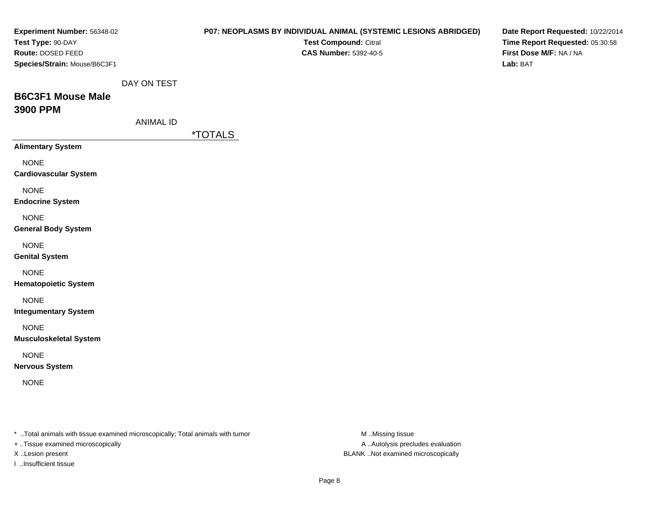| Experiment Number: 56348-02<br>Test Type: 90-DAY<br>Route: DOSED FEED<br>Species/Strain: Mouse/B6C3F1 |                                 | P07: NEOPLASMS BY INDIVIDUAL ANIMAL (SYSTEMIC LESIONS ABRIDGED)<br>Test Compound: Citral<br><b>CAS Number: 5392-40-5</b> | Date Report Requested: 10/22/2014<br>Time Report Requested: 05:30:58<br>First Dose M/F: NA / NA<br>Lab: BAT |
|-------------------------------------------------------------------------------------------------------|---------------------------------|--------------------------------------------------------------------------------------------------------------------------|-------------------------------------------------------------------------------------------------------------|
| <b>B6C3F1 Mouse Male</b><br>3900 PPM                                                                  | DAY ON TEST<br><b>ANIMAL ID</b> |                                                                                                                          |                                                                                                             |
|                                                                                                       |                                 | <i><b>*TOTALS</b></i>                                                                                                    |                                                                                                             |
| <b>Alimentary System</b>                                                                              |                                 |                                                                                                                          |                                                                                                             |
| <b>NONE</b><br><b>Cardiovascular System</b>                                                           |                                 |                                                                                                                          |                                                                                                             |
| <b>NONE</b><br><b>Endocrine System</b>                                                                |                                 |                                                                                                                          |                                                                                                             |
| <b>NONE</b><br><b>General Body System</b>                                                             |                                 |                                                                                                                          |                                                                                                             |
| <b>NONE</b><br><b>Genital System</b>                                                                  |                                 |                                                                                                                          |                                                                                                             |
| <b>NONE</b><br><b>Hematopoietic System</b>                                                            |                                 |                                                                                                                          |                                                                                                             |
| <b>NONE</b><br><b>Integumentary System</b>                                                            |                                 |                                                                                                                          |                                                                                                             |
| <b>NONE</b><br><b>Musculoskeletal System</b>                                                          |                                 |                                                                                                                          |                                                                                                             |
| <b>NONE</b><br><b>Nervous System</b>                                                                  |                                 |                                                                                                                          |                                                                                                             |
| <b>NONE</b>                                                                                           |                                 |                                                                                                                          |                                                                                                             |
| * Total animals with tissue examined microscopically; Total animals with tumor                        |                                 | M Missing tissue                                                                                                         |                                                                                                             |

+ ..Tissue examined microscopically

I ..Insufficient tissue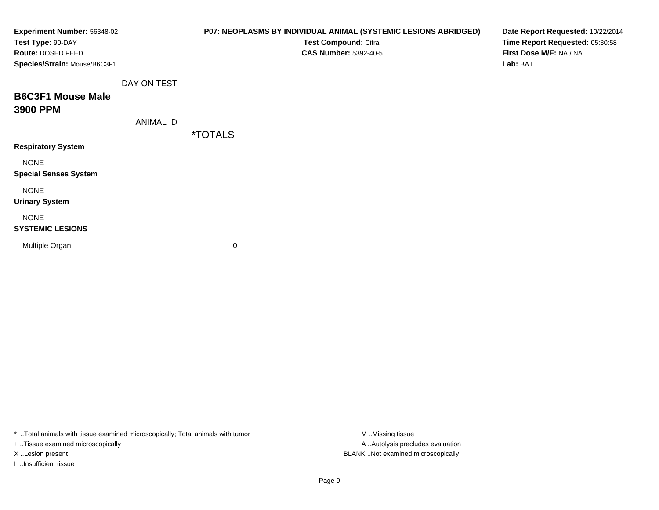| Experiment Number: 56348-02<br>Test Type: 90-DAY<br>Route: DOSED FEED<br>Species/Strain: Mouse/B6C3F1 |                  | P07: NEOPLASMS BY INDIVIDUAL ANIMAL (SYSTEMIC LESIONS ABRIDGED)<br>Test Compound: Citral<br><b>CAS Number: 5392-40-5</b> | Date Report Requested: 10/22/2014<br>Time Report Requested: 05:30:58<br>First Dose M/F: NA / NA<br>Lab: BAT |
|-------------------------------------------------------------------------------------------------------|------------------|--------------------------------------------------------------------------------------------------------------------------|-------------------------------------------------------------------------------------------------------------|
| <b>B6C3F1 Mouse Male</b><br>3900 PPM                                                                  | DAY ON TEST      |                                                                                                                          |                                                                                                             |
|                                                                                                       | <b>ANIMAL ID</b> | <i><b>*TOTALS</b></i>                                                                                                    |                                                                                                             |
| <b>Respiratory System</b>                                                                             |                  |                                                                                                                          |                                                                                                             |
| <b>NONE</b><br><b>Special Senses System</b>                                                           |                  |                                                                                                                          |                                                                                                             |
| <b>NONE</b><br><b>Urinary System</b>                                                                  |                  |                                                                                                                          |                                                                                                             |
| <b>NONE</b><br><b>SYSTEMIC LESIONS</b>                                                                |                  |                                                                                                                          |                                                                                                             |
| Multiple Organ                                                                                        |                  | 0                                                                                                                        |                                                                                                             |

\* ..Total animals with tissue examined microscopically; Total animals with tumor M..Missing tissue M

+ ..Tissue examined microscopically

I ..Insufficient tissue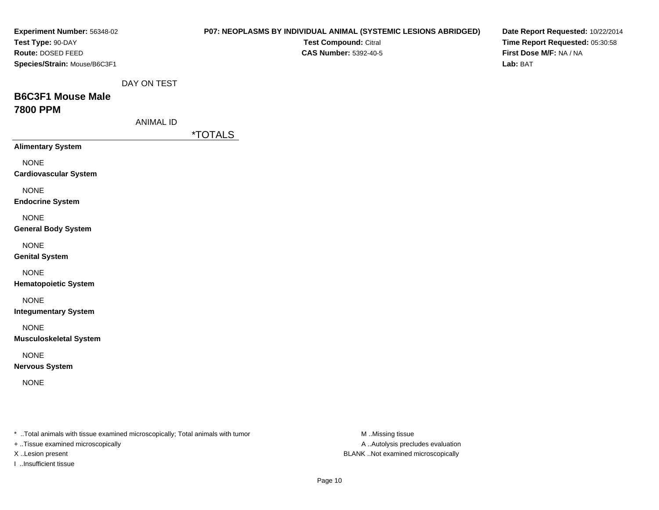| Experiment Number: 56348-02<br>Test Type: 90-DAY<br>Route: DOSED FEED<br>Species/Strain: Mouse/B6C3F1 |                                 | P07: NEOPLASMS BY INDIVIDUAL ANIMAL (SYSTEMIC LESIONS ABRIDGED)<br>Test Compound: Citral<br><b>CAS Number: 5392-40-5</b> |                  | Date Report Requested: 10/22/2014<br>Time Report Requested: 05:30:58<br>First Dose M/F: NA / NA<br>Lab: BAT |
|-------------------------------------------------------------------------------------------------------|---------------------------------|--------------------------------------------------------------------------------------------------------------------------|------------------|-------------------------------------------------------------------------------------------------------------|
| <b>B6C3F1 Mouse Male</b><br><b>7800 PPM</b>                                                           | DAY ON TEST<br><b>ANIMAL ID</b> |                                                                                                                          |                  |                                                                                                             |
|                                                                                                       |                                 | <i><b>*TOTALS</b></i>                                                                                                    |                  |                                                                                                             |
| <b>Alimentary System</b>                                                                              |                                 |                                                                                                                          |                  |                                                                                                             |
| <b>NONE</b><br><b>Cardiovascular System</b>                                                           |                                 |                                                                                                                          |                  |                                                                                                             |
| <b>NONE</b><br><b>Endocrine System</b>                                                                |                                 |                                                                                                                          |                  |                                                                                                             |
| <b>NONE</b><br><b>General Body System</b>                                                             |                                 |                                                                                                                          |                  |                                                                                                             |
| <b>NONE</b><br><b>Genital System</b>                                                                  |                                 |                                                                                                                          |                  |                                                                                                             |
| <b>NONE</b><br><b>Hematopoietic System</b>                                                            |                                 |                                                                                                                          |                  |                                                                                                             |
| <b>NONE</b><br><b>Integumentary System</b>                                                            |                                 |                                                                                                                          |                  |                                                                                                             |
| <b>NONE</b><br><b>Musculoskeletal System</b>                                                          |                                 |                                                                                                                          |                  |                                                                                                             |
| <b>NONE</b><br><b>Nervous System</b>                                                                  |                                 |                                                                                                                          |                  |                                                                                                             |
| <b>NONE</b>                                                                                           |                                 |                                                                                                                          |                  |                                                                                                             |
| * Total animals with tissue examined microscopically; Total animals with tumor                        |                                 |                                                                                                                          | M Missing tissue |                                                                                                             |

+ ..Tissue examined microscopically

I ..Insufficient tissue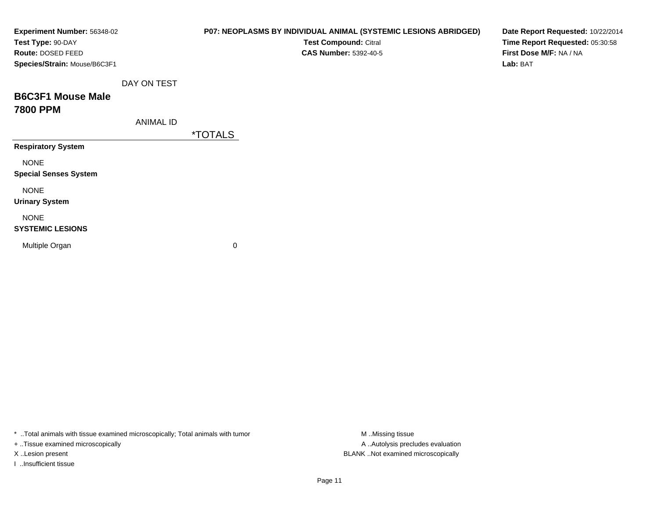| Experiment Number: 56348-02<br>Test Type: 90-DAY<br>Route: DOSED FEED<br>Species/Strain: Mouse/B6C3F1 |                  | P07: NEOPLASMS BY INDIVIDUAL ANIMAL (SYSTEMIC LESIONS ABRIDGED)<br>Test Compound: Citral<br><b>CAS Number: 5392-40-5</b> | Date Report Requested: 10/22/2014<br>Time Report Requested: 05:30:58<br>First Dose M/F: NA / NA<br>Lab: BAT |
|-------------------------------------------------------------------------------------------------------|------------------|--------------------------------------------------------------------------------------------------------------------------|-------------------------------------------------------------------------------------------------------------|
| <b>B6C3F1 Mouse Male</b><br><b>7800 PPM</b>                                                           | DAY ON TEST      |                                                                                                                          |                                                                                                             |
|                                                                                                       | <b>ANIMAL ID</b> | <i><b>*TOTALS</b></i>                                                                                                    |                                                                                                             |
| <b>Respiratory System</b>                                                                             |                  |                                                                                                                          |                                                                                                             |
| <b>NONE</b><br><b>Special Senses System</b>                                                           |                  |                                                                                                                          |                                                                                                             |
| <b>NONE</b><br><b>Urinary System</b>                                                                  |                  |                                                                                                                          |                                                                                                             |
| <b>NONE</b><br><b>SYSTEMIC LESIONS</b>                                                                |                  |                                                                                                                          |                                                                                                             |
| Multiple Organ                                                                                        |                  | 0                                                                                                                        |                                                                                                             |

\* ..Total animals with tissue examined microscopically; Total animals with tumor M..Missing tissue M ..Missing tissue

+ ..Tissue examined microscopically

I ..Insufficient tissue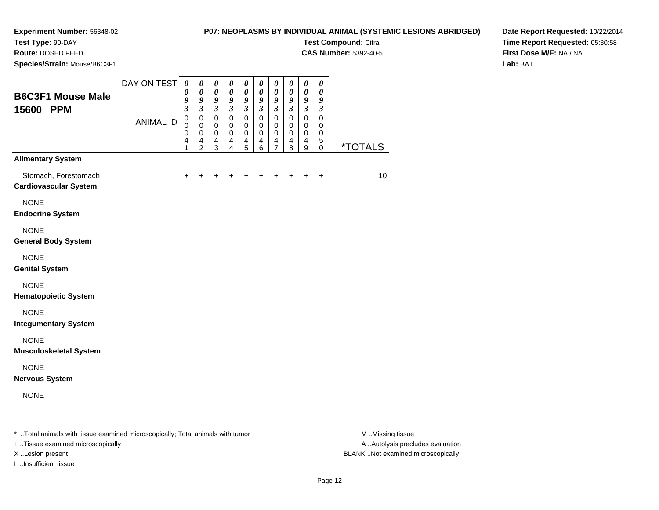**Test Type:** 90-DAY

**Route:** DOSED FEED

**Species/Strain:** Mouse/B6C3F1

# **P07: NEOPLASMS BY INDIVIDUAL ANIMAL (SYSTEMIC LESIONS ABRIDGED)**

**Test Compound:** Citral **CAS Number:** 5392-40-5

**Date Report Requested:** 10/22/2014**Time Report Requested:** 05:30:58**First Dose M/F:** NA / NA**Lab:** BAT

| <b>B6C3F1 Mouse Male</b><br>15600 PPM                                                                           | DAY ON TEST      | 0<br>0<br>9<br>$\overline{\mathbf{3}}$    | 0<br>$\pmb{\theta}$<br>9<br>$\overline{\mathbf{3}}$    | $\boldsymbol{\theta}$<br>$\boldsymbol{\theta}$<br>9<br>$\overline{\mathbf{3}}$ | $\boldsymbol{\theta}$<br>$\boldsymbol{\theta}$<br>9<br>$\mathfrak{z}$ | $\boldsymbol{\theta}$<br>$\boldsymbol{\theta}$<br>9<br>$\overline{\mathbf{3}}$ | $\boldsymbol{\theta}$<br>$\boldsymbol{\theta}$<br>9<br>$\mathfrak{z}$ | $\boldsymbol{\theta}$<br>$\boldsymbol{\theta}$<br>$\boldsymbol{g}$<br>$\overline{\mathbf{3}}$ | $\boldsymbol{\theta}$<br>$\boldsymbol{\theta}$<br>9<br>$\mathfrak{z}$ | $\boldsymbol{\theta}$<br>$\pmb{\theta}$<br>9<br>$\overline{\mathbf{3}}$ | $\boldsymbol{\theta}$<br>$\boldsymbol{\theta}$<br>9<br>$\mathfrak{z}$ |                |
|-----------------------------------------------------------------------------------------------------------------|------------------|-------------------------------------------|--------------------------------------------------------|--------------------------------------------------------------------------------|-----------------------------------------------------------------------|--------------------------------------------------------------------------------|-----------------------------------------------------------------------|-----------------------------------------------------------------------------------------------|-----------------------------------------------------------------------|-------------------------------------------------------------------------|-----------------------------------------------------------------------|----------------|
|                                                                                                                 | <b>ANIMAL ID</b> | $\mathsf 0$<br>$\mathbf 0$<br>0<br>4<br>1 | $\mathsf 0$<br>$\mathbf 0$<br>0<br>4<br>$\overline{c}$ | $\mathbf 0$<br>$\mathbf 0$<br>$\mathbf 0$<br>4<br>3                            | $\mathsf 0$<br>$\mathbf 0$<br>0<br>$\overline{4}$<br>4                | $\overline{0}$<br>0<br>$\mathbf 0$<br>$\overline{4}$<br>5                      | $\overline{0}$<br>$\mathbf 0$<br>0<br>4<br>6                          | $\overline{0}$<br>$\mathbf 0$<br>$\mathbf 0$<br>4<br>$\overline{7}$                           | $\overline{0}$<br>$\mathbf 0$<br>0<br>4<br>8                          | $\overline{0}$<br>0<br>$\pmb{0}$<br>$\overline{4}$<br>9                 | $\overline{0}$<br>0<br>0<br>5<br>0                                    | <u>*TOTALS</u> |
| <b>Alimentary System</b>                                                                                        |                  |                                           |                                                        |                                                                                |                                                                       |                                                                                |                                                                       |                                                                                               |                                                                       |                                                                         |                                                                       |                |
| Stomach, Forestomach<br><b>Cardiovascular System</b>                                                            |                  |                                           |                                                        |                                                                                |                                                                       |                                                                                |                                                                       |                                                                                               |                                                                       |                                                                         | $\ddot{}$                                                             | 10             |
| <b>NONE</b><br><b>Endocrine System</b>                                                                          |                  |                                           |                                                        |                                                                                |                                                                       |                                                                                |                                                                       |                                                                                               |                                                                       |                                                                         |                                                                       |                |
| <b>NONE</b><br><b>General Body System</b>                                                                       |                  |                                           |                                                        |                                                                                |                                                                       |                                                                                |                                                                       |                                                                                               |                                                                       |                                                                         |                                                                       |                |
| <b>NONE</b><br><b>Genital System</b>                                                                            |                  |                                           |                                                        |                                                                                |                                                                       |                                                                                |                                                                       |                                                                                               |                                                                       |                                                                         |                                                                       |                |
| <b>NONE</b><br><b>Hematopoietic System</b>                                                                      |                  |                                           |                                                        |                                                                                |                                                                       |                                                                                |                                                                       |                                                                                               |                                                                       |                                                                         |                                                                       |                |
| <b>NONE</b><br><b>Integumentary System</b>                                                                      |                  |                                           |                                                        |                                                                                |                                                                       |                                                                                |                                                                       |                                                                                               |                                                                       |                                                                         |                                                                       |                |
| <b>NONE</b><br><b>Musculoskeletal System</b>                                                                    |                  |                                           |                                                        |                                                                                |                                                                       |                                                                                |                                                                       |                                                                                               |                                                                       |                                                                         |                                                                       |                |
| <b>NONE</b><br><b>Nervous System</b>                                                                            |                  |                                           |                                                        |                                                                                |                                                                       |                                                                                |                                                                       |                                                                                               |                                                                       |                                                                         |                                                                       |                |
| <b>NONE</b>                                                                                                     |                  |                                           |                                                        |                                                                                |                                                                       |                                                                                |                                                                       |                                                                                               |                                                                       |                                                                         |                                                                       |                |
| $\pm$ . The second contract of the contract of the second contract of $\pm$ . The second contract of the second |                  |                                           |                                                        |                                                                                |                                                                       |                                                                                |                                                                       |                                                                                               |                                                                       |                                                                         |                                                                       | <b>BA BALL</b> |

..Total animals with tissue examined microscopically; Total animals with tumor M ..Missing tissue M ..Missing tissue

+ ..Tissue examined microscopically

I ..Insufficient tissue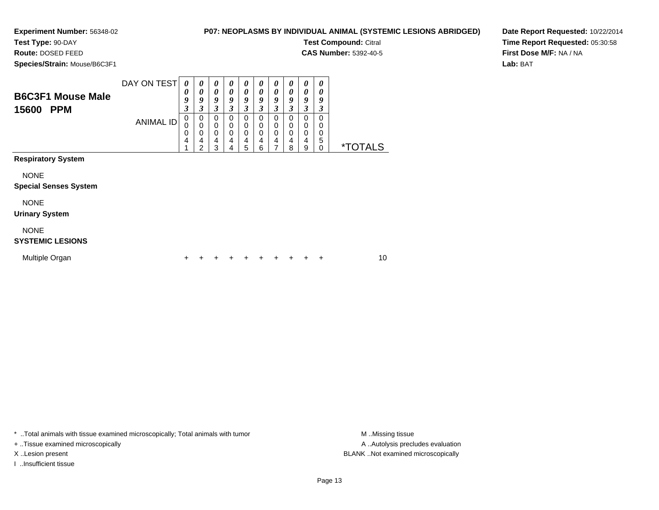# **P07: NEOPLASMS BY INDIVIDUAL ANIMAL (SYSTEMIC LESIONS ABRIDGED)**

**Test Compound:** Citral **CAS Number:** 5392-40-5

**Test Type:** 90-DAY

**Route:** DOSED FEED

**Species/Strain:** Mouse/B6C3F1

**Date Report Requested:** 10/22/2014**Time Report Requested:** 05:30:58**First Dose M/F:** NA / NA**Lab:** BAT

| <b>B6C3F1 Mouse Male</b><br>15600<br><b>PPM</b>                          | DAY ON TEST<br><b>ANIMAL ID</b> | 0<br>0<br>9<br>3<br>$\pmb{0}$<br>$\pmb{0}$<br>$\mathbf 0$<br>4<br>4 | 0<br>0<br>9<br>3<br>0<br>$\mathbf 0$<br>0<br>4<br>2 | $\boldsymbol{\theta}$<br>0<br>9<br>3<br>$\mathbf 0$<br>$\mathbf 0$<br>0<br>4<br>3 | 0<br>0<br>9<br>3<br>0<br>0<br>0<br>4<br>4 | 0<br>0<br>9<br>3<br>0<br>0<br>0<br>4<br>5 | $\theta$<br>0<br>9<br>3<br>0<br>0<br>0<br>4<br>6 | 0<br>0<br>9<br>3<br>0<br>0<br>$\mathbf 0$<br>4<br>7 | 0<br>0<br>9<br>3<br>0<br>$\mathbf 0$<br>$\mathbf 0$<br>4<br>8 | $\boldsymbol{\theta}$<br>0<br>9<br>3<br>0<br>$\mathbf 0$<br>$\mathbf 0$<br>4<br>9 | $\boldsymbol{\theta}$<br>0<br>9<br>$\boldsymbol{\beta}$<br>$\Omega$<br>0<br>$\mathbf 0$<br>5<br>$\mathbf 0$ | <i><b>*TOTALS</b></i> |
|--------------------------------------------------------------------------|---------------------------------|---------------------------------------------------------------------|-----------------------------------------------------|-----------------------------------------------------------------------------------|-------------------------------------------|-------------------------------------------|--------------------------------------------------|-----------------------------------------------------|---------------------------------------------------------------|-----------------------------------------------------------------------------------|-------------------------------------------------------------------------------------------------------------|-----------------------|
| <b>Respiratory System</b><br><b>NONE</b><br><b>Special Senses System</b> |                                 |                                                                     |                                                     |                                                                                   |                                           |                                           |                                                  |                                                     |                                                               |                                                                                   |                                                                                                             |                       |
| <b>NONE</b><br><b>Urinary System</b>                                     |                                 |                                                                     |                                                     |                                                                                   |                                           |                                           |                                                  |                                                     |                                                               |                                                                                   |                                                                                                             |                       |
| <b>NONE</b><br><b>SYSTEMIC LESIONS</b>                                   |                                 |                                                                     |                                                     |                                                                                   |                                           |                                           |                                                  |                                                     |                                                               |                                                                                   |                                                                                                             |                       |
| Multiple Organ                                                           |                                 | +                                                                   |                                                     |                                                                                   |                                           |                                           |                                                  | ٠                                                   | ÷                                                             | +                                                                                 | ÷                                                                                                           | 10                    |

\* ..Total animals with tissue examined microscopically; Total animals with tumor **M** . Missing tissue M ..Missing tissue

+ ..Tissue examined microscopically

I ..Insufficient tissue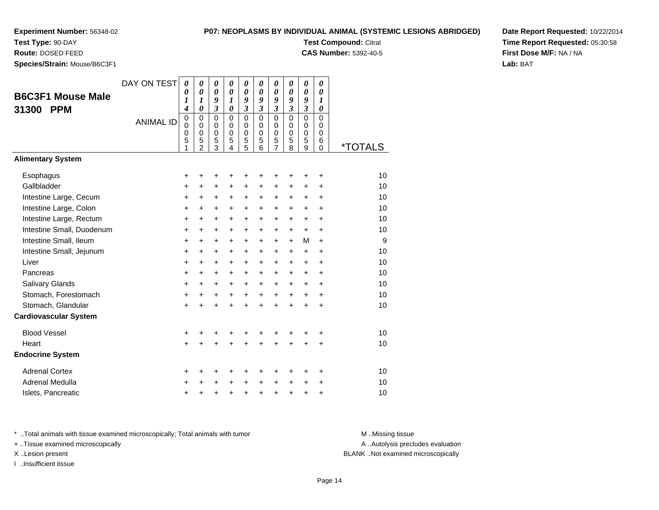**Test Type:** 90-DAY

**Route:** DOSED FEED

**Species/Strain:** Mouse/B6C3F1

#### **P07: NEOPLASMS BY INDIVIDUAL ANIMAL (SYSTEMIC LESIONS ABRIDGED)**

**Test Compound:** Citral

**CAS Number:** 5392-40-5

**Date Report Requested:** 10/22/2014**Time Report Requested:** 05:30:58**First Dose M/F:** NA / NA**Lab:** BAT

| <b>B6C3F1 Mouse Male</b><br>31300<br><b>PPM</b> | DAY ON TEST      | 0<br>0<br>1<br>4                | 0<br>0<br>1<br>0                                       | 0<br>$\boldsymbol{\theta}$<br>9<br>$\boldsymbol{\beta}$ | $\boldsymbol{\theta}$<br>0<br>$\boldsymbol{l}$<br>$\boldsymbol{\theta}$ | $\boldsymbol{\theta}$<br>0<br>9<br>$\boldsymbol{\mathfrak{z}}$ | 0<br>$\boldsymbol{\theta}$<br>9<br>3          | $\boldsymbol{\theta}$<br>0<br>9<br>$\boldsymbol{\beta}$ | 0<br>0<br>9<br>3                | 0<br>0<br>9<br>3      | 0<br>0<br>1<br>0                                     |                       |
|-------------------------------------------------|------------------|---------------------------------|--------------------------------------------------------|---------------------------------------------------------|-------------------------------------------------------------------------|----------------------------------------------------------------|-----------------------------------------------|---------------------------------------------------------|---------------------------------|-----------------------|------------------------------------------------------|-----------------------|
|                                                 | <b>ANIMAL ID</b> | 0<br>$\mathbf 0$<br>0<br>5<br>1 | $\mathbf 0$<br>$\mathbf 0$<br>0<br>5<br>$\mathfrak{p}$ | $\mathbf 0$<br>0<br>0<br>5<br>3                         | $\mathbf 0$<br>$\Omega$<br>0<br>5<br>4                                  | $\mathbf 0$<br>0<br>0<br>5<br>5                                | $\Omega$<br>$\Omega$<br>$\mathbf 0$<br>5<br>6 | $\mathbf 0$<br>$\mathbf 0$<br>0<br>5<br>$\overline{7}$  | $\mathbf 0$<br>0<br>0<br>5<br>8 | 0<br>0<br>0<br>5<br>9 | $\Omega$<br>$\Omega$<br>$\mathbf 0$<br>6<br>$\Omega$ | <i><b>*TOTALS</b></i> |
| <b>Alimentary System</b>                        |                  |                                 |                                                        |                                                         |                                                                         |                                                                |                                               |                                                         |                                 |                       |                                                      |                       |
| Esophagus                                       |                  | +                               | +                                                      | +                                                       | +                                                                       | +                                                              | +                                             | +                                                       | +                               | +                     | +                                                    | 10                    |
| Gallbladder                                     |                  | +                               | +                                                      | +                                                       | +                                                                       | +                                                              | +                                             | +                                                       | +                               | +                     | +                                                    | 10                    |
| Intestine Large, Cecum                          |                  | +                               | $\ddot{}$                                              | $\ddot{}$                                               | +                                                                       | +                                                              | +                                             | $\ddot{}$                                               | +                               | $\ddot{}$             | $\ddot{}$                                            | 10                    |
| Intestine Large, Colon                          |                  | +                               | +                                                      | +                                                       | $\ddot{}$                                                               | +                                                              | +                                             | +                                                       | $\ddot{}$                       | +                     | +                                                    | 10                    |
| Intestine Large, Rectum                         |                  | +                               | $\ddot{}$                                              | $\ddot{}$                                               | $\ddot{}$                                                               | +                                                              | +                                             | +                                                       | +                               | +                     | +                                                    | 10                    |
| Intestine Small, Duodenum                       |                  | $\ddot{}$                       | $\ddot{}$                                              | $\ddot{}$                                               | $\ddot{}$                                                               | +                                                              | $\ddot{}$                                     | $\ddot{}$                                               | $\ddot{}$                       | $+$                   | $\ddot{}$                                            | 10                    |
| Intestine Small, Ileum                          |                  | +                               | $\ddot{}$                                              | $\ddot{}$                                               | $\ddot{}$                                                               | $\ddot{}$                                                      | +                                             | $\ddot{}$                                               | $\ddot{}$                       | М                     | $\ddot{}$                                            | 9                     |
| Intestine Small, Jejunum                        |                  | +                               | +                                                      | +                                                       | $\ddot{}$                                                               | +                                                              | +                                             | +                                                       | $\ddot{}$                       | +                     | $\ddot{}$                                            | 10                    |
| Liver                                           |                  | +                               | $\ddot{}$                                              | $\ddot{}$                                               | $\ddot{}$                                                               | +                                                              | +                                             | $\ddot{}$                                               | $\ddot{}$                       | $\ddot{}$             | $\ddot{}$                                            | 10                    |
| Pancreas                                        |                  | +                               | +                                                      | +                                                       | +                                                                       | +                                                              | +                                             | +                                                       | +                               | +                     | +                                                    | 10                    |
| Salivary Glands                                 |                  | +                               | $\ddot{}$                                              | $\ddot{}$                                               | $\ddot{}$                                                               | $\ddot{}$                                                      | +                                             | $\ddot{}$                                               | +                               | +                     | $\ddot{}$                                            | 10                    |
| Stomach, Forestomach                            |                  | +                               | +                                                      | $\ddot{}$                                               | $\ddot{}$                                                               | $\ddot{}$                                                      | $+$                                           | $\ddot{}$                                               | $+$                             | $+$                   | $\ddot{}$                                            | 10                    |
| Stomach, Glandular                              |                  | $\ddot{}$                       | +                                                      | +                                                       | $\ddot{}$                                                               | $\ddot{}$                                                      | $\ddot{}$                                     | $\ddot{}$                                               | $\ddot{}$                       | $\ddot{}$             | $\ddot{}$                                            | 10                    |
| <b>Cardiovascular System</b>                    |                  |                                 |                                                        |                                                         |                                                                         |                                                                |                                               |                                                         |                                 |                       |                                                      |                       |
| <b>Blood Vessel</b>                             |                  | +                               | +                                                      | +                                                       | +                                                                       | +                                                              | +                                             | +                                                       | +                               | +                     | +                                                    | 10                    |
| Heart                                           |                  | $\ddot{}$                       |                                                        | $\ddot{}$                                               |                                                                         | $\ddot{}$                                                      | Ŧ.                                            | $\ddot{}$                                               | $\ddot{}$                       | $\ddot{}$             | $\ddot{}$                                            | 10                    |
| <b>Endocrine System</b>                         |                  |                                 |                                                        |                                                         |                                                                         |                                                                |                                               |                                                         |                                 |                       |                                                      |                       |
| <b>Adrenal Cortex</b>                           |                  | +                               | +                                                      | +                                                       | ٠                                                                       | +                                                              | +                                             | +                                                       | +                               | ٠                     | +                                                    | 10                    |
| Adrenal Medulla                                 |                  | +                               | +                                                      | +                                                       | $\ddot{}$                                                               | +                                                              | $\ddot{}$                                     | $\ddot{}$                                               | $\ddot{}$                       | +                     | +                                                    | 10                    |
| Islets, Pancreatic                              |                  | +                               | +                                                      | +                                                       | +                                                                       | +                                                              | +                                             | +                                                       | +                               | +                     | +                                                    | 10                    |

\* ..Total animals with tissue examined microscopically; Total animals with tumor **M** . Missing tissue M ..Missing tissue

+ ..Tissue examined microscopically

I ..Insufficient tissue

A ..Autolysis precludes evaluation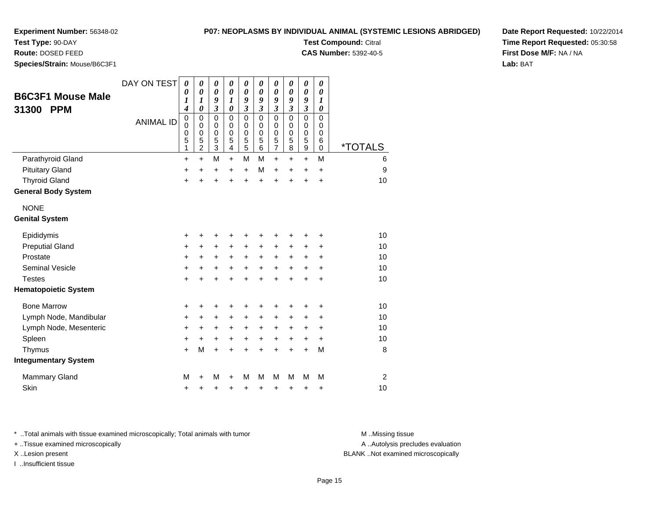# **Test Type:** 90-DAY

**Route:** DOSED FEED

**Species/Strain:** Mouse/B6C3F1

#### **P07: NEOPLASMS BY INDIVIDUAL ANIMAL (SYSTEMIC LESIONS ABRIDGED)**

**Test Compound:** Citral

**CAS Number:** 5392-40-5

**Date Report Requested:** 10/22/2014**Time Report Requested:** 05:30:58**First Dose M/F:** NA / NA**Lab:** BAT

| <b>B6C3F1 Mouse Male</b><br><b>PPM</b><br>31300 | DAY ON TEST<br><b>ANIMAL ID</b> | 0<br>0<br>1<br>4<br>$\pmb{0}$<br>$\mathbf 0$<br>$\mathbf 0$<br>5<br>1 | $\boldsymbol{\theta}$<br>$\boldsymbol{\theta}$<br>1<br>$\boldsymbol{\theta}$<br>$\mathbf 0$<br>$\mathbf 0$<br>0<br>5<br>$\overline{2}$ | 0<br>$\boldsymbol{\theta}$<br>9<br>$\mathfrak{z}$<br>$\mathbf 0$<br>$\mathbf 0$<br>$\mathbf 0$<br>5<br>$\overline{3}$ | 0<br>0<br>$\boldsymbol{l}$<br>$\boldsymbol{\theta}$<br>$\mathbf 0$<br>$\mathbf 0$<br>$\mathbf 0$<br>5<br>$\overline{\mathbf{4}}$ | 0<br>$\boldsymbol{\theta}$<br>9<br>$\mathfrak{z}$<br>$\mathbf 0$<br>$\mathbf 0$<br>$\mathbf 0$<br>5<br>5 | 0<br>$\boldsymbol{\theta}$<br>9<br>$\boldsymbol{\mathfrak{z}}$<br>$\mathbf 0$<br>$\mathbf 0$<br>$\mathbf 0$<br>5<br>$\overline{6}$ | $\boldsymbol{\theta}$<br>0<br>9<br>$\mathfrak{z}$<br>$\mathbf 0$<br>$\mathbf 0$<br>0<br>5<br>$\overline{7}$ | 0<br>0<br>9<br>$\overline{\mathbf{3}}$<br>$\Omega$<br>$\Omega$<br>0<br>5<br>8 | $\pmb{\theta}$<br>$\boldsymbol{\theta}$<br>9<br>$\mathfrak{z}$<br>$\mathbf 0$<br>$\mathbf 0$<br>$\mathbf 0$<br>5<br>$\overline{9}$ | 0<br>0<br>$\boldsymbol{\mathcal{I}}$<br>0<br>$\Omega$<br>$\Omega$<br>0<br>6<br>$\mathbf 0$ | <i><b>*TOTALS</b></i> |
|-------------------------------------------------|---------------------------------|-----------------------------------------------------------------------|----------------------------------------------------------------------------------------------------------------------------------------|-----------------------------------------------------------------------------------------------------------------------|----------------------------------------------------------------------------------------------------------------------------------|----------------------------------------------------------------------------------------------------------|------------------------------------------------------------------------------------------------------------------------------------|-------------------------------------------------------------------------------------------------------------|-------------------------------------------------------------------------------|------------------------------------------------------------------------------------------------------------------------------------|--------------------------------------------------------------------------------------------|-----------------------|
| Parathyroid Gland                               |                                 | $\ddot{}$                                                             | $\ddot{}$                                                                                                                              | M                                                                                                                     | $\ddot{}$                                                                                                                        | M                                                                                                        | M                                                                                                                                  | $\ddot{}$                                                                                                   | $\ddot{}$                                                                     | $\ddot{}$                                                                                                                          | M                                                                                          | 6                     |
| <b>Pituitary Gland</b>                          |                                 | $\pmb{+}$                                                             | $\ddot{}$                                                                                                                              | +                                                                                                                     | $\ddot{}$                                                                                                                        | $\ddot{}$                                                                                                | M                                                                                                                                  | $\ddot{}$                                                                                                   | +                                                                             | $\ddot{}$                                                                                                                          | $\ddot{}$                                                                                  | $\boldsymbol{9}$      |
| <b>Thyroid Gland</b>                            |                                 | $\ddot{}$                                                             | $\ddot{}$                                                                                                                              | $\ddot{}$                                                                                                             | $\ddot{}$                                                                                                                        | $\ddot{}$                                                                                                | $\ddot{}$                                                                                                                          | $\ddot{}$                                                                                                   | $\ddot{}$                                                                     | $\ddot{}$                                                                                                                          | +                                                                                          | 10                    |
| <b>General Body System</b>                      |                                 |                                                                       |                                                                                                                                        |                                                                                                                       |                                                                                                                                  |                                                                                                          |                                                                                                                                    |                                                                                                             |                                                                               |                                                                                                                                    |                                                                                            |                       |
| <b>NONE</b>                                     |                                 |                                                                       |                                                                                                                                        |                                                                                                                       |                                                                                                                                  |                                                                                                          |                                                                                                                                    |                                                                                                             |                                                                               |                                                                                                                                    |                                                                                            |                       |
| <b>Genital System</b>                           |                                 |                                                                       |                                                                                                                                        |                                                                                                                       |                                                                                                                                  |                                                                                                          |                                                                                                                                    |                                                                                                             |                                                                               |                                                                                                                                    |                                                                                            |                       |
| Epididymis                                      |                                 | +                                                                     | +                                                                                                                                      | +                                                                                                                     | +                                                                                                                                | +                                                                                                        | +                                                                                                                                  | +                                                                                                           | +                                                                             | +                                                                                                                                  | +                                                                                          | 10                    |
| <b>Preputial Gland</b>                          |                                 | $\ddot{}$                                                             | $\ddot{}$                                                                                                                              | +                                                                                                                     | +                                                                                                                                | +                                                                                                        | +                                                                                                                                  | +                                                                                                           | +                                                                             | +                                                                                                                                  | $\ddot{}$                                                                                  | 10                    |
| Prostate                                        |                                 | +                                                                     | +                                                                                                                                      | +                                                                                                                     | +                                                                                                                                | $\ddot{}$                                                                                                | +                                                                                                                                  | +                                                                                                           | $\ddot{}$                                                                     | +                                                                                                                                  | $\ddot{}$                                                                                  | 10                    |
| <b>Seminal Vesicle</b>                          |                                 | +                                                                     | +                                                                                                                                      | +                                                                                                                     | +                                                                                                                                | +                                                                                                        | +                                                                                                                                  | +                                                                                                           | +                                                                             | +                                                                                                                                  | +                                                                                          | 10                    |
| <b>Testes</b>                                   |                                 | $\ddot{}$                                                             |                                                                                                                                        | +                                                                                                                     |                                                                                                                                  | $\ddot{}$                                                                                                | $\ddot{}$                                                                                                                          | $\ddot{}$                                                                                                   | $\ddot{}$                                                                     | $\ddot{}$                                                                                                                          | +                                                                                          | 10                    |
| <b>Hematopoietic System</b>                     |                                 |                                                                       |                                                                                                                                        |                                                                                                                       |                                                                                                                                  |                                                                                                          |                                                                                                                                    |                                                                                                             |                                                                               |                                                                                                                                    |                                                                                            |                       |
| <b>Bone Marrow</b>                              |                                 | +                                                                     | +                                                                                                                                      | +                                                                                                                     |                                                                                                                                  |                                                                                                          |                                                                                                                                    | +                                                                                                           |                                                                               | +                                                                                                                                  | +                                                                                          | 10                    |
| Lymph Node, Mandibular                          |                                 | +                                                                     | +                                                                                                                                      | +                                                                                                                     | +                                                                                                                                | +                                                                                                        | $\ddot{}$                                                                                                                          | +                                                                                                           | +                                                                             | +                                                                                                                                  | +                                                                                          | 10                    |
| Lymph Node, Mesenteric                          |                                 | +                                                                     | +                                                                                                                                      | +                                                                                                                     | +                                                                                                                                | +                                                                                                        | +                                                                                                                                  | +                                                                                                           | +                                                                             | +                                                                                                                                  | $\ddot{}$                                                                                  | 10                    |
| Spleen                                          |                                 | +                                                                     | +                                                                                                                                      | +                                                                                                                     | +                                                                                                                                | $\ddot{}$                                                                                                | +                                                                                                                                  | +                                                                                                           | +                                                                             | $\ddot{}$                                                                                                                          | $\ddot{}$                                                                                  | 10                    |
| Thymus                                          |                                 | $\ddot{}$                                                             | M                                                                                                                                      | $\ddot{}$                                                                                                             |                                                                                                                                  | +                                                                                                        | +                                                                                                                                  | $\ddot{}$                                                                                                   | $\ddot{}$                                                                     | $\ddot{}$                                                                                                                          | M                                                                                          | 8                     |
| <b>Integumentary System</b>                     |                                 |                                                                       |                                                                                                                                        |                                                                                                                       |                                                                                                                                  |                                                                                                          |                                                                                                                                    |                                                                                                             |                                                                               |                                                                                                                                    |                                                                                            |                       |
| <b>Mammary Gland</b>                            |                                 | M                                                                     | +                                                                                                                                      | M                                                                                                                     | +                                                                                                                                | M                                                                                                        | М                                                                                                                                  | M                                                                                                           | м                                                                             | M                                                                                                                                  | М                                                                                          | $\overline{2}$        |
| Skin                                            |                                 | $\ddot{}$                                                             | +                                                                                                                                      | +                                                                                                                     | +                                                                                                                                | +                                                                                                        | +                                                                                                                                  | +                                                                                                           | +                                                                             | +                                                                                                                                  | +                                                                                          | 10                    |

\* ..Total animals with tissue examined microscopically; Total animals with tumor **M** . Missing tissue M ..Missing tissue

+ ..Tissue examined microscopically

I ..Insufficient tissue

A ..Autolysis precludes evaluation

X ..Lesion present BLANK ..Not examined microscopically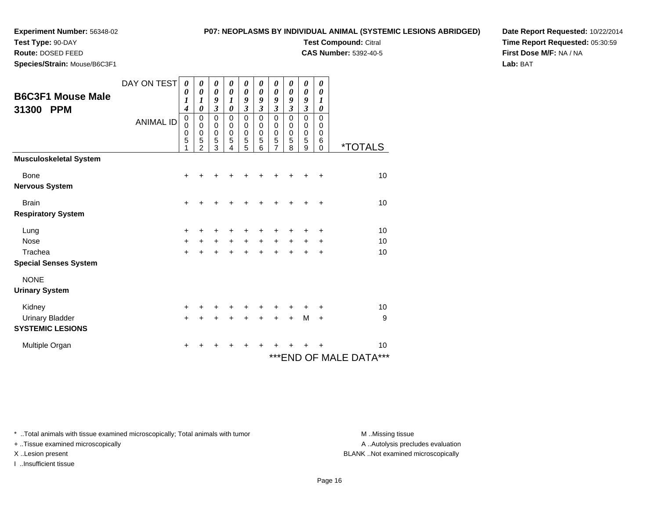**Test Type:** 90-DAY**Route:** DOSED FEED

### **P07: NEOPLASMS BY INDIVIDUAL ANIMAL (SYSTEMIC LESIONS ABRIDGED)**

**Test Compound:** Citral

**CAS Number:** 5392-40-5

**Date Report Requested:** 10/22/2014**Time Report Requested:** 05:30:59**First Dose M/F:** NA / NA**Lab:** BAT

|  |  |  | Species/Strain: Mouse/B6C3F1 |
|--|--|--|------------------------------|
|--|--|--|------------------------------|

| <b>Species/Strain:</b> Mouse/B6C3F1 |                  |                                                                     |                                    |                                             |                            |                                    |                                                |                                                            |                                                 |                                      |                                        |                         |
|-------------------------------------|------------------|---------------------------------------------------------------------|------------------------------------|---------------------------------------------|----------------------------|------------------------------------|------------------------------------------------|------------------------------------------------------------|-------------------------------------------------|--------------------------------------|----------------------------------------|-------------------------|
| <b>B6C3F1 Mouse Male</b>            | DAY ON TEST      | 0<br>0                                                              | 0<br>$\boldsymbol{\theta}$         | 0<br>0                                      | 0<br>$\boldsymbol{\theta}$ | 0<br>$\boldsymbol{\theta}$         | 0<br>$\boldsymbol{\theta}$                     | 0<br>0                                                     | 0<br>$\boldsymbol{\theta}$                      | 0<br>0                               | 0<br>$\boldsymbol{\theta}$             |                         |
| 31300<br><b>PPM</b>                 |                  | $\boldsymbol{l}$<br>$\boldsymbol{4}$                                | $\boldsymbol{l}$<br>0              | 9<br>$\overline{\mathbf{3}}$<br>$\mathbf 0$ | 1<br>0                     | 9<br>$\mathfrak{z}$<br>$\mathbf 0$ | 9<br>3                                         | 9<br>$\mathfrak{z}$                                        | 9<br>$\boldsymbol{\mathfrak{z}}$<br>$\mathbf 0$ | 9<br>$\mathfrak{z}$                  | 1<br>$\boldsymbol{\theta}$<br>$\Omega$ |                         |
|                                     | <b>ANIMAL ID</b> | $\mathbf 0$<br>$\mathbf 0$<br>$\begin{array}{c} 0 \\ 5 \end{array}$ | $\pmb{0}$<br>0<br>$\mathbf 0$<br>5 | $\mathbf 0$<br>0<br>5                       | 0<br>0<br>0<br>5           | $\mathbf 0$<br>$\pmb{0}$<br>5      | $\mathbf 0$<br>$\mathbf 0$<br>$\mathbf 0$<br>5 | $\mathbf 0$<br>$\mathbf 0$<br>$\mathbf 0$<br>$\frac{5}{7}$ | $\pmb{0}$<br>$\mathbf 0$<br>5                   | $\mathbf 0$<br>0<br>$\mathbf 0$<br>5 | 0<br>0<br>$\,6$                        |                         |
|                                     |                  | 1                                                                   | $\mathfrak{p}$                     | 3                                           | 4                          | 5                                  | 6                                              |                                                            | 8                                               | 9                                    | $\Omega$                               | <i><b>*TOTALS</b></i>   |
| <b>Musculoskeletal System</b>       |                  |                                                                     |                                    |                                             |                            |                                    |                                                |                                                            |                                                 |                                      |                                        |                         |
| Bone                                |                  | +                                                                   |                                    |                                             |                            |                                    |                                                |                                                            |                                                 |                                      | +                                      | 10                      |
| <b>Nervous System</b>               |                  |                                                                     |                                    |                                             |                            |                                    |                                                |                                                            |                                                 |                                      |                                        |                         |
| <b>Brain</b>                        |                  | +                                                                   |                                    |                                             |                            |                                    |                                                |                                                            |                                                 |                                      | +                                      | 10                      |
| <b>Respiratory System</b>           |                  |                                                                     |                                    |                                             |                            |                                    |                                                |                                                            |                                                 |                                      |                                        |                         |
| Lung                                |                  | $\pm$                                                               |                                    | +                                           |                            |                                    |                                                |                                                            |                                                 |                                      | +                                      | 10                      |
| <b>Nose</b>                         |                  | $\ddot{}$                                                           |                                    | $+$                                         | $+$                        | $+$                                | $\ddot{}$                                      | $+$                                                        | $\ddot{}$                                       | $+$                                  | +                                      | 10                      |
| Trachea                             |                  | $\ddot{}$                                                           |                                    |                                             |                            |                                    |                                                |                                                            |                                                 |                                      | +                                      | 10                      |
| <b>Special Senses System</b>        |                  |                                                                     |                                    |                                             |                            |                                    |                                                |                                                            |                                                 |                                      |                                        |                         |
| <b>NONE</b>                         |                  |                                                                     |                                    |                                             |                            |                                    |                                                |                                                            |                                                 |                                      |                                        |                         |
| <b>Urinary System</b>               |                  |                                                                     |                                    |                                             |                            |                                    |                                                |                                                            |                                                 |                                      |                                        |                         |
| Kidney                              |                  | $\ddot{}$                                                           |                                    |                                             |                            |                                    |                                                |                                                            |                                                 |                                      | ٠                                      | 10                      |
| <b>Urinary Bladder</b>              |                  | $\ddot{}$                                                           |                                    | +                                           |                            | +                                  |                                                | $\ddot{}$                                                  | $\ddot{}$                                       | M                                    | $\ddot{}$                              | 9                       |
| <b>SYSTEMIC LESIONS</b>             |                  |                                                                     |                                    |                                             |                            |                                    |                                                |                                                            |                                                 |                                      |                                        |                         |
| Multiple Organ                      |                  | +                                                                   | ٠                                  | +                                           | ٠                          | ÷                                  |                                                |                                                            |                                                 |                                      | ٠                                      | 10                      |
|                                     |                  |                                                                     |                                    |                                             |                            |                                    |                                                |                                                            |                                                 |                                      |                                        | *** END OF MALE DATA*** |

\* ..Total animals with tissue examined microscopically; Total animals with tumor **M** . Missing tissue M ..Missing tissue

+ ..Tissue examined microscopically

I ..Insufficient tissue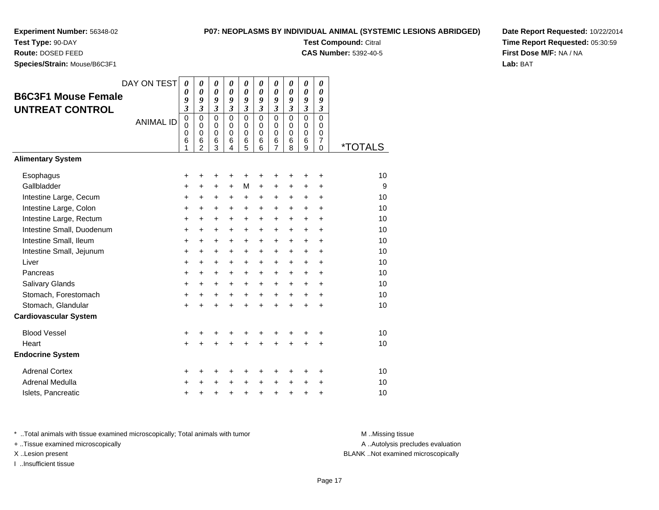**Test Type:** 90-DAY

**Route:** DOSED FEED

**Species/Strain:** Mouse/B6C3F1

### **P07: NEOPLASMS BY INDIVIDUAL ANIMAL (SYSTEMIC LESIONS ABRIDGED)**

**Test Compound:** Citral

**CAS Number:** 5392-40-5

**Date Report Requested:** 10/22/2014**Time Report Requested:** 05:30:59**First Dose M/F:** NA / NA**Lab:** BAT

| <b>B6C3F1 Mouse Female</b><br><b>UNTREAT CONTROL</b> | DAY ON TEST<br><b>ANIMAL ID</b> | $\boldsymbol{\theta}$<br>0<br>9<br>3<br>$\mathbf 0$<br>$\mathbf 0$<br>0<br>6<br>1 | 0<br>$\boldsymbol{\theta}$<br>9<br>$\mathfrak{z}$<br>$\mathbf 0$<br>$\Omega$<br>0<br>6<br>$\overline{2}$ | 0<br>$\boldsymbol{\theta}$<br>9<br>$\boldsymbol{\beta}$<br>$\mathbf 0$<br>$\Omega$<br>$\mathbf 0$<br>6<br>3 | 0<br>0<br>9<br>$\boldsymbol{\mathfrak{z}}$<br>$\Omega$<br>$\Omega$<br>$\mathbf 0$<br>6<br>4 | 0<br>0<br>9<br>$\mathfrak{z}$<br>$\mathbf 0$<br>$\mathbf 0$<br>0<br>6<br>5 | 0<br>0<br>9<br>$\mathfrak{z}$<br>$\Omega$<br>$\Omega$<br>0<br>6<br>6 | 0<br>$\boldsymbol{\theta}$<br>9<br>$\mathfrak{z}$<br>$\mathbf 0$<br>$\Omega$<br>$\mathbf 0$<br>6<br>$\overline{7}$ | 0<br>0<br>9<br>$\mathfrak{z}$<br>$\mathbf 0$<br>$\Omega$<br>0<br>6<br>8 | 0<br>0<br>9<br>$\mathfrak{z}$<br>$\mathbf 0$<br>$\mathbf 0$<br>0<br>6<br>9 | 0<br>0<br>9<br>3<br>$\mathbf 0$<br>0<br>0<br>$\overline{7}$<br>0 | <i><b>*TOTALS</b></i> |
|------------------------------------------------------|---------------------------------|-----------------------------------------------------------------------------------|----------------------------------------------------------------------------------------------------------|-------------------------------------------------------------------------------------------------------------|---------------------------------------------------------------------------------------------|----------------------------------------------------------------------------|----------------------------------------------------------------------|--------------------------------------------------------------------------------------------------------------------|-------------------------------------------------------------------------|----------------------------------------------------------------------------|------------------------------------------------------------------|-----------------------|
| <b>Alimentary System</b>                             |                                 |                                                                                   |                                                                                                          |                                                                                                             |                                                                                             |                                                                            |                                                                      |                                                                                                                    |                                                                         |                                                                            |                                                                  |                       |
| Esophagus                                            |                                 | +                                                                                 | +                                                                                                        | +                                                                                                           | +                                                                                           | +                                                                          | +                                                                    | +                                                                                                                  | ٠                                                                       | ÷                                                                          | ÷                                                                | 10                    |
| Gallbladder                                          |                                 | +                                                                                 | +                                                                                                        | $\ddot{}$                                                                                                   | $\ddot{}$                                                                                   | M                                                                          | $\ddot{}$                                                            | +                                                                                                                  | $\pm$                                                                   | $\pm$                                                                      | $\ddot{}$                                                        | 9                     |
| Intestine Large, Cecum                               |                                 | +                                                                                 | +                                                                                                        | +                                                                                                           | +                                                                                           | +                                                                          | +                                                                    | +                                                                                                                  | +                                                                       | $\ddot{}$                                                                  | +                                                                | 10                    |
| Intestine Large, Colon                               |                                 | +                                                                                 | +                                                                                                        | $\ddot{}$                                                                                                   | $\ddot{}$                                                                                   | $\pm$                                                                      | $\ddot{}$                                                            | $\ddot{}$                                                                                                          | $\ddot{}$                                                               | $\pm$                                                                      | +                                                                | 10                    |
| Intestine Large, Rectum                              |                                 | $\ddot{}$                                                                         | $\ddot{}$                                                                                                | $\ddot{}$                                                                                                   | $\ddot{}$                                                                                   | +                                                                          | $\ddot{}$                                                            | $\ddot{}$                                                                                                          | $\ddot{}$                                                               | $+$                                                                        | $\ddot{}$                                                        | 10                    |
| Intestine Small, Duodenum                            |                                 | +                                                                                 | +                                                                                                        | $\ddot{}$                                                                                                   | +                                                                                           | $\ddot{}$                                                                  | $\ddot{}$                                                            | +                                                                                                                  | $\ddot{}$                                                               | $+$                                                                        | $\ddot{}$                                                        | 10                    |
| Intestine Small, Ileum                               |                                 | +                                                                                 | $\ddot{}$                                                                                                | $\ddot{}$                                                                                                   | $\ddot{}$                                                                                   | +                                                                          | +                                                                    | +                                                                                                                  | $\ddot{}$                                                               | $\ddot{}$                                                                  | +                                                                | 10                    |
| Intestine Small, Jejunum                             |                                 | +                                                                                 | +                                                                                                        | +                                                                                                           | $\ddot{}$                                                                                   | $\pm$                                                                      | $\ddot{}$                                                            | $\ddot{}$                                                                                                          | $\ddot{}$                                                               | $\pm$                                                                      | +                                                                | 10                    |
| Liver                                                |                                 | +                                                                                 | $\ddot{}$                                                                                                | $\ddot{}$                                                                                                   | $\ddot{}$                                                                                   | +                                                                          | $\ddot{}$                                                            | $\ddot{}$                                                                                                          | $\ddot{}$                                                               | $+$                                                                        | $\ddot{}$                                                        | 10                    |
| Pancreas                                             |                                 | +                                                                                 | +                                                                                                        | +                                                                                                           | +                                                                                           | +                                                                          | +                                                                    | $\ddot{}$                                                                                                          | $\ddot{}$                                                               | $\pm$                                                                      | $\ddot{}$                                                        | 10                    |
| Salivary Glands                                      |                                 | +                                                                                 | $\ddot{}$                                                                                                | $\ddot{}$                                                                                                   | $\ddot{}$                                                                                   | $\ddot{}$                                                                  | $\ddot{}$                                                            | $\ddot{}$                                                                                                          | $\ddot{}$                                                               | $\ddot{}$                                                                  | $\ddot{}$                                                        | 10                    |
| Stomach, Forestomach                                 |                                 | +                                                                                 | +                                                                                                        | +                                                                                                           | $\ddot{}$                                                                                   | +                                                                          | $\ddot{}$                                                            | $\ddot{}$                                                                                                          | $\ddot{}$                                                               | $\pm$                                                                      | +                                                                | 10                    |
| Stomach, Glandular                                   |                                 | $\ddot{}$                                                                         |                                                                                                          | $\ddot{}$                                                                                                   |                                                                                             | $\ddot{}$                                                                  | $\ddot{}$                                                            | $\ddot{}$                                                                                                          | $\ddot{}$                                                               | $\ddot{}$                                                                  | $\ddot{}$                                                        | 10                    |
| <b>Cardiovascular System</b>                         |                                 |                                                                                   |                                                                                                          |                                                                                                             |                                                                                             |                                                                            |                                                                      |                                                                                                                    |                                                                         |                                                                            |                                                                  |                       |
| <b>Blood Vessel</b>                                  |                                 | +                                                                                 | +                                                                                                        | +                                                                                                           | +                                                                                           | +                                                                          | +                                                                    | +                                                                                                                  | +                                                                       | +                                                                          | +                                                                | 10                    |
| Heart                                                |                                 | $\ddot{}$                                                                         |                                                                                                          |                                                                                                             |                                                                                             | +                                                                          |                                                                      | +                                                                                                                  |                                                                         |                                                                            | $\ddot{}$                                                        | 10                    |
| <b>Endocrine System</b>                              |                                 |                                                                                   |                                                                                                          |                                                                                                             |                                                                                             |                                                                            |                                                                      |                                                                                                                    |                                                                         |                                                                            |                                                                  |                       |
| <b>Adrenal Cortex</b>                                |                                 | +                                                                                 | +                                                                                                        | +                                                                                                           | +                                                                                           | +                                                                          | +                                                                    | +                                                                                                                  | ٠                                                                       | ٠                                                                          | ÷                                                                | 10                    |
| <b>Adrenal Medulla</b>                               |                                 | +                                                                                 |                                                                                                          | +                                                                                                           |                                                                                             | +                                                                          | $\ddot{}$                                                            | $\ddot{}$                                                                                                          | $\ddot{}$                                                               | $\ddot{}$                                                                  | +                                                                | 10                    |
| Islets, Pancreatic                                   |                                 | +                                                                                 | +                                                                                                        | +                                                                                                           | +                                                                                           | +                                                                          | $\ddot{}$                                                            | +                                                                                                                  | +                                                                       | +                                                                          | +                                                                | 10                    |

\* ..Total animals with tissue examined microscopically; Total animals with tumor **M** . Missing tissue M ..Missing tissue

+ ..Tissue examined microscopically

X ..Lesion present BLANK ..Not examined microscopically

I ..Insufficient tissue

A ..Autolysis precludes evaluation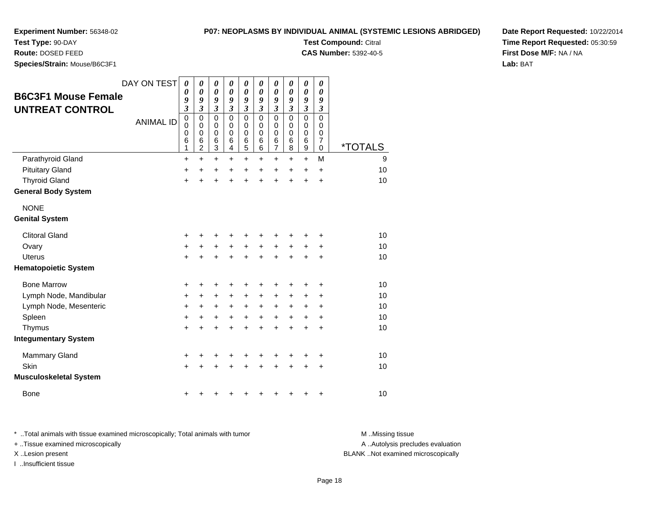**P07: NEOPLASMS BY INDIVIDUAL ANIMAL (SYSTEMIC LESIONS ABRIDGED)**

**Test Compound:** Citral

**CAS Number:** 5392-40-5

**Date Report Requested:** 10/22/2014**Time Report Requested:** 05:30:59**First Dose M/F:** NA / NA**Lab:** BAT

**Test Type:** 90-DAY**Route:** DOSED FEED

**Species/Strain:** Mouse/B6C3F1

| <b>B6C3F1 Mouse Female</b><br><b>UNTREAT CONTROL</b> | DAY ON TEST<br><b>ANIMAL ID</b> | 0<br>$\boldsymbol{\theta}$<br>9<br>$\overline{\mathbf{3}}$<br>$\mathbf 0$<br>$\mathbf 0$<br>$\mathbf 0$<br>6<br>1 | $\boldsymbol{\theta}$<br>$\boldsymbol{\theta}$<br>9<br>$\mathfrak{z}$<br>$\mathbf 0$<br>0<br>$\mathbf 0$<br>$\,6$<br>$\overline{2}$ | $\boldsymbol{\theta}$<br>$\boldsymbol{\theta}$<br>9<br>$\mathfrak{z}$<br>$\mathbf 0$<br>0<br>$\pmb{0}$<br>$\,6$<br>3 | 0<br>$\boldsymbol{\theta}$<br>9<br>$\mathfrak{z}$<br>$\mathbf 0$<br>0<br>$\mathbf 0$<br>$\,6$<br>$\overline{4}$ | 0<br>$\boldsymbol{\theta}$<br>9<br>$\mathfrak{z}$<br>$\mathbf 0$<br>0<br>$\mathbf 0$<br>6<br>5 | 0<br>$\boldsymbol{\theta}$<br>9<br>$\boldsymbol{\beta}$<br>$\mathbf 0$<br>$\Omega$<br>$\mathbf 0$<br>6<br>6 | 0<br>$\boldsymbol{\theta}$<br>9<br>$\mathfrak{z}$<br>$\mathsf 0$<br>0<br>$\mathbf 0$<br>6<br>$\overline{7}$ | $\boldsymbol{\theta}$<br>$\boldsymbol{\theta}$<br>9<br>$\mathfrak{z}$<br>$\mathbf 0$<br>$\Omega$<br>$\mathbf 0$<br>$\,6$<br>8 | $\boldsymbol{\theta}$<br>$\boldsymbol{\theta}$<br>9<br>$\boldsymbol{\beta}$<br>$\mathbf 0$<br>0<br>$\pmb{0}$<br>$6\phantom{1}6$<br>9 | 0<br>0<br>9<br>3<br>$\mathbf 0$<br>0<br>0<br>$\overline{7}$<br>$\mathbf 0$ | *TOTALS |
|------------------------------------------------------|---------------------------------|-------------------------------------------------------------------------------------------------------------------|-------------------------------------------------------------------------------------------------------------------------------------|----------------------------------------------------------------------------------------------------------------------|-----------------------------------------------------------------------------------------------------------------|------------------------------------------------------------------------------------------------|-------------------------------------------------------------------------------------------------------------|-------------------------------------------------------------------------------------------------------------|-------------------------------------------------------------------------------------------------------------------------------|--------------------------------------------------------------------------------------------------------------------------------------|----------------------------------------------------------------------------|---------|
| Parathyroid Gland                                    |                                 | +                                                                                                                 | $\ddot{}$                                                                                                                           | +                                                                                                                    | $\ddot{}$                                                                                                       | +                                                                                              | +                                                                                                           | +                                                                                                           | +                                                                                                                             | $\ddot{}$                                                                                                                            | M                                                                          | 9       |
| <b>Pituitary Gland</b>                               |                                 | +                                                                                                                 | $\ddot{}$                                                                                                                           | $\ddot{}$                                                                                                            | $\ddot{}$                                                                                                       | $\ddot{}$                                                                                      | $\ddot{}$                                                                                                   | +                                                                                                           | $\ddot{}$                                                                                                                     | $\ddot{}$                                                                                                                            | $\ddot{}$                                                                  | 10      |
| <b>Thyroid Gland</b>                                 |                                 | $\ddot{}$                                                                                                         | ÷                                                                                                                                   | $\ddot{}$                                                                                                            | $\ddot{}$                                                                                                       | $\ddot{}$                                                                                      | $\ddot{}$                                                                                                   | $\ddot{}$                                                                                                   | $\ddot{}$                                                                                                                     | $\ddot{}$                                                                                                                            | $\ddot{}$                                                                  | 10      |
| <b>General Body System</b>                           |                                 |                                                                                                                   |                                                                                                                                     |                                                                                                                      |                                                                                                                 |                                                                                                |                                                                                                             |                                                                                                             |                                                                                                                               |                                                                                                                                      |                                                                            |         |
| <b>NONE</b>                                          |                                 |                                                                                                                   |                                                                                                                                     |                                                                                                                      |                                                                                                                 |                                                                                                |                                                                                                             |                                                                                                             |                                                                                                                               |                                                                                                                                      |                                                                            |         |
| <b>Genital System</b>                                |                                 |                                                                                                                   |                                                                                                                                     |                                                                                                                      |                                                                                                                 |                                                                                                |                                                                                                             |                                                                                                             |                                                                                                                               |                                                                                                                                      |                                                                            |         |
| <b>Clitoral Gland</b>                                |                                 | +                                                                                                                 | +                                                                                                                                   | +                                                                                                                    | ٠                                                                                                               | +                                                                                              | ٠                                                                                                           | +                                                                                                           | +                                                                                                                             | +                                                                                                                                    | +                                                                          | 10      |
| Ovary                                                |                                 | $\ddot{}$                                                                                                         |                                                                                                                                     | +                                                                                                                    | +                                                                                                               | $\ddot{}$                                                                                      | $\ddot{}$                                                                                                   | $\ddot{}$                                                                                                   | +                                                                                                                             | +                                                                                                                                    | +                                                                          | 10      |
| <b>Uterus</b>                                        |                                 | +                                                                                                                 |                                                                                                                                     | +                                                                                                                    |                                                                                                                 | $\ddot{}$                                                                                      | $\ddot{}$                                                                                                   | $\ddot{}$                                                                                                   | $\ddot{}$                                                                                                                     | $\ddot{}$                                                                                                                            | $\ddot{}$                                                                  | 10      |
| <b>Hematopoietic System</b>                          |                                 |                                                                                                                   |                                                                                                                                     |                                                                                                                      |                                                                                                                 |                                                                                                |                                                                                                             |                                                                                                             |                                                                                                                               |                                                                                                                                      |                                                                            |         |
| <b>Bone Marrow</b>                                   |                                 | +                                                                                                                 | +                                                                                                                                   | +                                                                                                                    |                                                                                                                 | +                                                                                              | +                                                                                                           | +                                                                                                           | +                                                                                                                             | +                                                                                                                                    | +                                                                          | 10      |
| Lymph Node, Mandibular                               |                                 | +                                                                                                                 | $\ddot{}$                                                                                                                           | +                                                                                                                    | $\ddot{}$                                                                                                       | +                                                                                              | $\ddot{}$                                                                                                   | +                                                                                                           | +                                                                                                                             | +                                                                                                                                    | $\ddot{}$                                                                  | 10      |
| Lymph Node, Mesenteric                               |                                 | +                                                                                                                 | +                                                                                                                                   | +                                                                                                                    | +                                                                                                               | $\ddot{}$                                                                                      | +                                                                                                           | +                                                                                                           | +                                                                                                                             | +                                                                                                                                    | +                                                                          | 10      |
| Spleen                                               |                                 | $\ddot{}$                                                                                                         | +                                                                                                                                   | +                                                                                                                    | $\ddot{}$                                                                                                       | $\ddot{}$                                                                                      | $\ddot{}$                                                                                                   | $\ddot{}$                                                                                                   | $\ddot{}$                                                                                                                     | $\ddot{}$                                                                                                                            | $\ddot{}$                                                                  | 10      |
| Thymus                                               |                                 | $\ddot{}$                                                                                                         | ÷                                                                                                                                   | $\ddot{}$                                                                                                            | ÷                                                                                                               | $\ddot{}$                                                                                      | $\ddot{}$                                                                                                   | $\ddot{}$                                                                                                   | $\ddot{}$                                                                                                                     | +                                                                                                                                    | +                                                                          | 10      |
| <b>Integumentary System</b>                          |                                 |                                                                                                                   |                                                                                                                                     |                                                                                                                      |                                                                                                                 |                                                                                                |                                                                                                             |                                                                                                             |                                                                                                                               |                                                                                                                                      |                                                                            |         |
| Mammary Gland                                        |                                 | +                                                                                                                 |                                                                                                                                     |                                                                                                                      |                                                                                                                 |                                                                                                |                                                                                                             | +                                                                                                           |                                                                                                                               | +                                                                                                                                    | +                                                                          | 10      |
| Skin                                                 |                                 | +                                                                                                                 |                                                                                                                                     |                                                                                                                      |                                                                                                                 |                                                                                                |                                                                                                             | +                                                                                                           |                                                                                                                               | +                                                                                                                                    | $\ddot{}$                                                                  | 10      |
| <b>Musculoskeletal System</b>                        |                                 |                                                                                                                   |                                                                                                                                     |                                                                                                                      |                                                                                                                 |                                                                                                |                                                                                                             |                                                                                                             |                                                                                                                               |                                                                                                                                      |                                                                            |         |
| <b>Bone</b>                                          |                                 | +                                                                                                                 |                                                                                                                                     |                                                                                                                      |                                                                                                                 |                                                                                                |                                                                                                             | +                                                                                                           | +                                                                                                                             | +                                                                                                                                    | +                                                                          | 10      |

\* ..Total animals with tissue examined microscopically; Total animals with tumor **M** . Missing tissue M ..Missing tissue + ..Tissue examined microscopically X ..Lesion present BLANK ..Not examined microscopically

I ..Insufficient tissue

A ..Autolysis precludes evaluation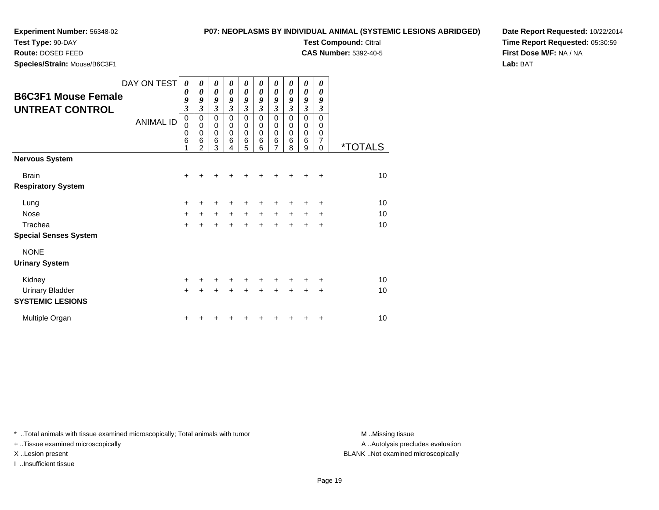**Test Type:** 90-DAY

**Route:** DOSED FEED

**Species/Strain:** Mouse/B6C3F1

#### **P07: NEOPLASMS BY INDIVIDUAL ANIMAL (SYSTEMIC LESIONS ABRIDGED)**

**Test Compound:** Citral

**CAS Number:** 5392-40-5

**Date Report Requested:** 10/22/2014**Time Report Requested:** 05:30:59**First Dose M/F:** NA / NA**Lab:** BAT

| <b>B6C3F1 Mouse Female</b><br><b>UNTREAT CONTROL</b> | DAY ON TEST<br><b>ANIMAL ID</b> | 0<br>$\boldsymbol{\theta}$<br>9<br>$\mathfrak{z}$<br>$\pmb{0}$<br>$\mathbf 0$<br>$\mathbf 0$<br>6 | $\boldsymbol{\theta}$<br>$\boldsymbol{\theta}$<br>9<br>$\overline{\mathbf{3}}$<br>$\mathbf 0$<br>$\mathbf 0$<br>$\mathbf 0$<br>6<br>$\overline{2}$ | 0<br>$\boldsymbol{\theta}$<br>9<br>$\mathfrak{z}$<br>0<br>$\mathbf 0$<br>$\mathbf 0$<br>$\,6$<br>3 | 0<br>0<br>9<br>$\mathfrak{z}$<br>$\Omega$<br>0<br>$\mathbf 0$<br>6<br>4 | 0<br>0<br>9<br>$\mathfrak{z}$<br>$\mathbf 0$<br>0<br>$\mathbf 0$<br>6<br>5 | 0<br>0<br>9<br>$\mathfrak{z}$<br>$\Omega$<br>0<br>$\Omega$<br>6<br>6 | 0<br>0<br>9<br>$\mathfrak{z}$<br>$\mathbf 0$<br>0<br>$\mathbf 0$<br>6<br>7 | 0<br>0<br>9<br>$\mathfrak{z}$<br>$\Omega$<br>0<br>$\Omega$<br>6<br>8 | 0<br>0<br>9<br>$\mathfrak{z}$<br>$\mathbf 0$<br>0<br>$\mathbf 0$<br>6<br>9 | 0<br>0<br>9<br>3<br>$\Omega$<br>0<br>0<br>7<br>$\Omega$ | <i><b>*TOTALS</b></i> |
|------------------------------------------------------|---------------------------------|---------------------------------------------------------------------------------------------------|----------------------------------------------------------------------------------------------------------------------------------------------------|----------------------------------------------------------------------------------------------------|-------------------------------------------------------------------------|----------------------------------------------------------------------------|----------------------------------------------------------------------|----------------------------------------------------------------------------|----------------------------------------------------------------------|----------------------------------------------------------------------------|---------------------------------------------------------|-----------------------|
| <b>Nervous System</b>                                |                                 |                                                                                                   |                                                                                                                                                    |                                                                                                    |                                                                         |                                                                            |                                                                      |                                                                            |                                                                      |                                                                            |                                                         |                       |
| <b>Brain</b>                                         |                                 | $\ddot{}$                                                                                         |                                                                                                                                                    |                                                                                                    |                                                                         |                                                                            |                                                                      |                                                                            |                                                                      | +                                                                          | $\div$                                                  | 10                    |
| <b>Respiratory System</b>                            |                                 |                                                                                                   |                                                                                                                                                    |                                                                                                    |                                                                         |                                                                            |                                                                      |                                                                            |                                                                      |                                                                            |                                                         |                       |
| Lung                                                 |                                 | $\ddot{}$                                                                                         |                                                                                                                                                    |                                                                                                    |                                                                         |                                                                            |                                                                      | +                                                                          |                                                                      |                                                                            | ٠                                                       | 10                    |
| <b>Nose</b>                                          |                                 | $\ddot{}$                                                                                         | $\ddot{}$                                                                                                                                          | $\ddot{}$                                                                                          | $+$                                                                     | $\ddot{}$                                                                  | $+$                                                                  | $\ddot{}$                                                                  | $\ddot{}$                                                            | $\ddot{}$                                                                  | $\ddot{}$                                               | 10                    |
| Trachea                                              |                                 | $\ddot{}$                                                                                         |                                                                                                                                                    | $\ddot{}$                                                                                          | $\ddot{}$                                                               | $\ddot{}$                                                                  | $\ddot{}$                                                            | $\ddot{}$                                                                  | $+$                                                                  | $\ddot{}$                                                                  | $+$                                                     | 10                    |
| <b>Special Senses System</b>                         |                                 |                                                                                                   |                                                                                                                                                    |                                                                                                    |                                                                         |                                                                            |                                                                      |                                                                            |                                                                      |                                                                            |                                                         |                       |
| <b>NONE</b>                                          |                                 |                                                                                                   |                                                                                                                                                    |                                                                                                    |                                                                         |                                                                            |                                                                      |                                                                            |                                                                      |                                                                            |                                                         |                       |
| <b>Urinary System</b>                                |                                 |                                                                                                   |                                                                                                                                                    |                                                                                                    |                                                                         |                                                                            |                                                                      |                                                                            |                                                                      |                                                                            |                                                         |                       |
| Kidney                                               |                                 | $\ddot{}$                                                                                         |                                                                                                                                                    |                                                                                                    |                                                                         | ٠                                                                          | +                                                                    | +                                                                          | +                                                                    | +                                                                          | ٠                                                       | 10                    |
| <b>Urinary Bladder</b>                               |                                 | $\ddot{}$                                                                                         |                                                                                                                                                    |                                                                                                    |                                                                         |                                                                            |                                                                      | ÷                                                                          | $\ddot{}$                                                            | $\ddot{}$                                                                  | $\div$                                                  | 10                    |
| <b>SYSTEMIC LESIONS</b>                              |                                 |                                                                                                   |                                                                                                                                                    |                                                                                                    |                                                                         |                                                                            |                                                                      |                                                                            |                                                                      |                                                                            |                                                         |                       |
| Multiple Organ                                       |                                 | +                                                                                                 |                                                                                                                                                    |                                                                                                    |                                                                         |                                                                            |                                                                      |                                                                            |                                                                      |                                                                            | ٠                                                       | 10                    |

\* ..Total animals with tissue examined microscopically; Total animals with tumor **M** . Missing tissue M ..Missing tissue

+ ..Tissue examined microscopically

I ..Insufficient tissue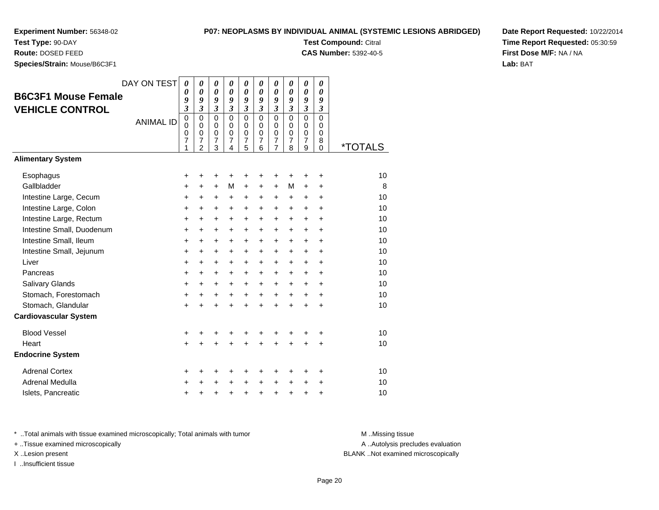# **P07: NEOPLASMS BY INDIVIDUAL ANIMAL (SYSTEMIC LESIONS ABRIDGED)**

**Test Compound:** Citral **CAS Number:** 5392-40-5

**Test Type:** 90-DAY

**Route:** DOSED FEED

**Species/Strain:** Mouse/B6C3F1

**Date Report Requested:** 10/22/2014**Time Report Requested:** 05:30:59**First Dose M/F:** NA / NA**Lab:** BAT

|                              | DAY ON TEST      | 0                                  | 0                                                                          | 0                                                                 | 0                                                         | 0                                                       | 0                                            | 0                                  | 0                                                   | 0                                                                   | 0                                                   |         |
|------------------------------|------------------|------------------------------------|----------------------------------------------------------------------------|-------------------------------------------------------------------|-----------------------------------------------------------|---------------------------------------------------------|----------------------------------------------|------------------------------------|-----------------------------------------------------|---------------------------------------------------------------------|-----------------------------------------------------|---------|
| <b>B6C3F1 Mouse Female</b>   |                  | 0<br>9                             | 0<br>9                                                                     | $\boldsymbol{\theta}$<br>9                                        | 0<br>$\boldsymbol{g}$                                     | 0<br>9                                                  | 0<br>9                                       | 0<br>9                             | 0<br>9                                              | $\boldsymbol{\theta}$<br>9                                          | 0<br>9                                              |         |
| <b>VEHICLE CONTROL</b>       |                  | $\mathfrak{z}$                     | $\mathfrak{z}$                                                             | $\boldsymbol{\mathfrak{z}}$                                       | $\mathfrak{z}$                                            | $\overline{\mathbf{3}}$                                 | 3                                            | $\overline{\mathbf{3}}$            | $\mathfrak{z}$                                      | $\mathfrak{z}$                                                      | $\boldsymbol{\mathfrak{z}}$                         |         |
|                              | <b>ANIMAL ID</b> | $\overline{0}$<br>0<br>0<br>7<br>1 | $\mathbf 0$<br>$\Omega$<br>$\mathbf 0$<br>$\overline{7}$<br>$\overline{2}$ | $\overline{0}$<br>$\mathbf 0$<br>$\pmb{0}$<br>$\overline{7}$<br>3 | $\overline{0}$<br>0<br>$\mathbf 0$<br>$\overline{7}$<br>4 | $\overline{0}$<br>0<br>$\pmb{0}$<br>$\overline{7}$<br>5 | $\overline{0}$<br>0<br>$\mathbf 0$<br>7<br>6 | $\overline{0}$<br>0<br>0<br>7<br>7 | $\overline{0}$<br>$\Omega$<br>$\mathbf 0$<br>7<br>8 | $\overline{0}$<br>$\mathbf 0$<br>$\mathbf 0$<br>$\overline{7}$<br>9 | $\overline{0}$<br>0<br>$\Omega$<br>8<br>$\mathbf 0$ | *TOTALS |
| <b>Alimentary System</b>     |                  |                                    |                                                                            |                                                                   |                                                           |                                                         |                                              |                                    |                                                     |                                                                     |                                                     |         |
| Esophagus                    |                  | +                                  | ٠                                                                          | +                                                                 | +                                                         | ٠                                                       | +                                            | +                                  |                                                     |                                                                     | +                                                   | 10      |
| Gallbladder                  |                  | +                                  | +                                                                          | +                                                                 | M                                                         | +                                                       | +                                            | +                                  | M                                                   | $\ddot{}$                                                           | $\ddot{}$                                           | 8       |
| Intestine Large, Cecum       |                  | $\ddot{}$                          | $\ddot{}$                                                                  | $\ddot{}$                                                         | $\ddot{}$                                                 | $\ddot{}$                                               | $\ddot{}$                                    | +                                  | $\ddot{}$                                           | $\ddot{}$                                                           | $\ddot{}$                                           | 10      |
| Intestine Large, Colon       |                  | $\ddot{}$                          | $\ddot{}$                                                                  | $\ddot{}$                                                         | $\ddot{}$                                                 | $\ddot{}$                                               | $\ddot{}$                                    | $\ddot{}$                          | $\ddot{}$                                           | $+$                                                                 | $\ddot{}$                                           | 10      |
| Intestine Large, Rectum      |                  | $\ddot{}$                          | +                                                                          | $\ddot{}$                                                         | $\ddot{}$                                                 | $\ddot{}$                                               | $\ddot{}$                                    | $\ddot{}$                          | $\ddot{}$                                           | $+$                                                                 | $\ddot{}$                                           | 10      |
| Intestine Small, Duodenum    |                  | $\ddot{}$                          | $\ddot{}$                                                                  | $\ddot{}$                                                         | $\ddot{}$                                                 | $\ddot{}$                                               | +                                            | +                                  | $\ddot{}$                                           | $\ddot{}$                                                           | $\ddot{}$                                           | 10      |
| Intestine Small, Ileum       |                  | $\ddot{}$                          | $\ddot{}$                                                                  | $\ddot{}$                                                         | $\ddot{}$                                                 | $\ddot{}$                                               | $\ddot{}$                                    | $\ddot{}$                          | $\ddot{}$                                           | $+$                                                                 | $\ddot{}$                                           | 10      |
| Intestine Small, Jejunum     |                  | $\ddot{}$                          | $\ddot{}$                                                                  | $\ddot{}$                                                         | $\ddot{}$                                                 | $\ddot{}$                                               | $+$                                          | $\ddot{}$                          | $\ddot{}$                                           | $+$                                                                 | $\ddot{}$                                           | 10      |
| Liver                        |                  | $\ddot{}$                          | $\ddot{}$                                                                  | $\ddot{}$                                                         | $\ddot{}$                                                 | $\ddot{}$                                               | +                                            | +                                  | $\ddot{}$                                           | $\ddot{}$                                                           | $\ddot{}$                                           | 10      |
| Pancreas                     |                  | $\ddot{}$                          | $\ddot{}$                                                                  | $\ddot{}$                                                         | $\ddot{}$                                                 | $\ddot{}$                                               | $\ddot{}$                                    | +                                  | $\ddot{}$                                           | $+$                                                                 | $+$                                                 | 10      |
| Salivary Glands              |                  | $\ddot{}$                          | $\ddot{}$                                                                  | $\ddot{}$                                                         | $\ddot{}$                                                 | $\ddot{}$                                               | $\ddot{}$                                    | $\ddot{}$                          | $\ddot{}$                                           | $\ddot{}$                                                           | $\ddot{}$                                           | 10      |
| Stomach, Forestomach         |                  | $\ddot{}$                          | $\ddot{}$                                                                  | $\ddot{}$                                                         | $\ddot{}$                                                 | $+$                                                     | $+$                                          | $\ddot{}$                          | $\ddot{}$                                           | $+$                                                                 | $\ddot{}$                                           | 10      |
| Stomach, Glandular           |                  | $\ddot{}$                          | $\ddot{}$                                                                  | $\ddot{}$                                                         | $\ddot{}$                                                 | $\ddot{}$                                               | ÷                                            | $\ddot{}$                          | $\ddot{}$                                           | $\ddot{}$                                                           | $\ddot{}$                                           | 10      |
| <b>Cardiovascular System</b> |                  |                                    |                                                                            |                                                                   |                                                           |                                                         |                                              |                                    |                                                     |                                                                     |                                                     |         |
| <b>Blood Vessel</b>          |                  | +                                  | +                                                                          | +                                                                 | +                                                         | +                                                       | +                                            | +                                  | +                                                   |                                                                     | +                                                   | 10      |
| Heart                        |                  | $\ddot{}$                          |                                                                            | $\ddot{}$                                                         | ÷                                                         | $\ddot{}$                                               | $\ddot{}$                                    | $\ddot{}$                          | $\ddot{}$                                           |                                                                     | $\ddot{}$                                           | 10      |
| <b>Endocrine System</b>      |                  |                                    |                                                                            |                                                                   |                                                           |                                                         |                                              |                                    |                                                     |                                                                     |                                                     |         |
| <b>Adrenal Cortex</b>        |                  | ٠                                  | +                                                                          | +                                                                 | +                                                         | +                                                       | +                                            | +                                  | +                                                   |                                                                     | ÷                                                   | 10      |
| Adrenal Medulla              |                  | $\ddot{}$                          | ÷                                                                          | $\ddot{}$                                                         | $\ddot{}$                                                 | $\ddot{}$                                               | $\ddot{}$                                    | $\ddot{}$                          | $\ddot{}$                                           | $\ddot{}$                                                           | $\ddot{}$                                           | 10      |
| Islets, Pancreatic           |                  | +                                  | +                                                                          | $\ddot{}$                                                         | $\ddot{}$                                                 | +                                                       | $\ddot{}$                                    | $\ddot{}$                          | $\ddot{}$                                           | $\ddot{}$                                                           | +                                                   | 10      |

\* ..Total animals with tissue examined microscopically; Total animals with tumor **M** . Missing tissue M ..Missing tissue

+ ..Tissue examined microscopically

I ..Insufficient tissue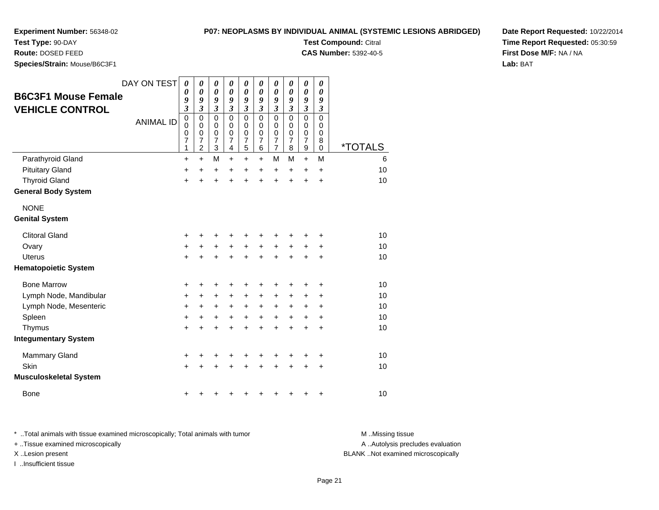**P07: NEOPLASMS BY INDIVIDUAL ANIMAL (SYSTEMIC LESIONS ABRIDGED)**

**Test Compound:** Citral

**CAS Number:** 5392-40-5

**Date Report Requested:** 10/22/2014**Time Report Requested:** 05:30:59**First Dose M/F:** NA / NA**Lab:** BAT

**Species/Strain:** Mouse/B6C3F1

**Test Type:** 90-DAY**Route:** DOSED FEED

| <b>B6C3F1 Mouse Female</b><br><b>VEHICLE CONTROL</b> | DAY ON TEST<br><b>ANIMAL ID</b> | $\boldsymbol{\theta}$<br>$\boldsymbol{\theta}$<br>9<br>$\overline{\mathbf{3}}$<br>$\mathbf 0$<br>$\mathbf 0$<br>$\mathbf 0$<br>7<br>1 | $\boldsymbol{\theta}$<br>$\boldsymbol{\theta}$<br>9<br>$\overline{\mathbf{3}}$<br>$\mathbf 0$<br>$\mathbf 0$<br>$\mathbf 0$<br>7<br>$\overline{2}$ | 0<br>0<br>9<br>$\mathfrak{z}$<br>$\mathbf 0$<br>0<br>$\mathbf 0$<br>7<br>3 | $\pmb{\theta}$<br>$\boldsymbol{\theta}$<br>9<br>$\mathfrak{z}$<br>$\mathbf 0$<br>$\mathbf 0$<br>$\mathbf 0$<br>$\overline{7}$<br>4 | 0<br>$\boldsymbol{\theta}$<br>9<br>$\mathfrak{z}$<br>$\mathbf 0$<br>0<br>$\mathbf 0$<br>$\overline{7}$<br>5 | 0<br>$\boldsymbol{\theta}$<br>9<br>$\mathfrak{z}$<br>$\mathbf 0$<br>$\mathbf 0$<br>$\mathbf 0$<br>$\overline{7}$<br>6 | $\boldsymbol{\theta}$<br>$\boldsymbol{\theta}$<br>9<br>$\boldsymbol{\beta}$<br>$\mathbf 0$<br>$\mathbf 0$<br>$\mathbf 0$<br>$\overline{7}$<br>$\overline{7}$ | 0<br>0<br>9<br>$\mathfrak{z}$<br>$\mathbf 0$<br>0<br>$\mathbf 0$<br>$\overline{7}$<br>8 | 0<br>$\pmb{\theta}$<br>9<br>$\mathfrak{z}$<br>0<br>0<br>$\mathsf 0$<br>$\overline{7}$<br>9 | 0<br>0<br>9<br>3<br>0<br>$\mathbf 0$<br>$\mathbf 0$<br>8<br>$\mathbf 0$ | <i><b>*TOTALS</b></i> |
|------------------------------------------------------|---------------------------------|---------------------------------------------------------------------------------------------------------------------------------------|----------------------------------------------------------------------------------------------------------------------------------------------------|----------------------------------------------------------------------------|------------------------------------------------------------------------------------------------------------------------------------|-------------------------------------------------------------------------------------------------------------|-----------------------------------------------------------------------------------------------------------------------|--------------------------------------------------------------------------------------------------------------------------------------------------------------|-----------------------------------------------------------------------------------------|--------------------------------------------------------------------------------------------|-------------------------------------------------------------------------|-----------------------|
| Parathyroid Gland                                    |                                 | $\ddot{}$                                                                                                                             | +                                                                                                                                                  | M                                                                          | $\ddot{}$                                                                                                                          | $\ddot{}$                                                                                                   | +                                                                                                                     | M                                                                                                                                                            | M                                                                                       | $+$                                                                                        | M                                                                       | 6                     |
| <b>Pituitary Gland</b>                               |                                 | $\ddot{}$                                                                                                                             | $\ddot{}$                                                                                                                                          | +                                                                          | +                                                                                                                                  | +                                                                                                           | +                                                                                                                     | +                                                                                                                                                            | $\pm$                                                                                   | +                                                                                          | $\ddot{}$                                                               | 10                    |
| <b>Thyroid Gland</b>                                 |                                 | $\ddot{}$                                                                                                                             | ÷                                                                                                                                                  | $\ddot{}$                                                                  | $\ddot{}$                                                                                                                          | $\ddot{}$                                                                                                   | $\ddot{}$                                                                                                             | ÷                                                                                                                                                            | ÷.                                                                                      | $\ddot{}$                                                                                  | $\ddot{}$                                                               | 10                    |
| <b>General Body System</b>                           |                                 |                                                                                                                                       |                                                                                                                                                    |                                                                            |                                                                                                                                    |                                                                                                             |                                                                                                                       |                                                                                                                                                              |                                                                                         |                                                                                            |                                                                         |                       |
| <b>NONE</b>                                          |                                 |                                                                                                                                       |                                                                                                                                                    |                                                                            |                                                                                                                                    |                                                                                                             |                                                                                                                       |                                                                                                                                                              |                                                                                         |                                                                                            |                                                                         |                       |
| <b>Genital System</b>                                |                                 |                                                                                                                                       |                                                                                                                                                    |                                                                            |                                                                                                                                    |                                                                                                             |                                                                                                                       |                                                                                                                                                              |                                                                                         |                                                                                            |                                                                         |                       |
| <b>Clitoral Gland</b>                                |                                 | +                                                                                                                                     |                                                                                                                                                    | +                                                                          | +                                                                                                                                  | +                                                                                                           | +                                                                                                                     | +                                                                                                                                                            |                                                                                         |                                                                                            | ٠                                                                       | 10                    |
| Ovary                                                |                                 | $\ddot{}$                                                                                                                             |                                                                                                                                                    | +                                                                          | $\ddot{}$                                                                                                                          | $\ddot{}$                                                                                                   | $\ddot{}$                                                                                                             | $\ddot{}$                                                                                                                                                    |                                                                                         |                                                                                            | +                                                                       | 10                    |
| Uterus                                               |                                 | $\ddot{}$                                                                                                                             |                                                                                                                                                    | +                                                                          | $\ddot{}$                                                                                                                          | $\ddot{}$                                                                                                   | $\ddot{}$                                                                                                             | $\ddot{}$                                                                                                                                                    | $\ddot{}$                                                                               | +                                                                                          | +                                                                       | 10                    |
| <b>Hematopoietic System</b>                          |                                 |                                                                                                                                       |                                                                                                                                                    |                                                                            |                                                                                                                                    |                                                                                                             |                                                                                                                       |                                                                                                                                                              |                                                                                         |                                                                                            |                                                                         |                       |
| <b>Bone Marrow</b>                                   |                                 | +                                                                                                                                     | ٠                                                                                                                                                  | +                                                                          | ٠                                                                                                                                  | +                                                                                                           | +                                                                                                                     | +                                                                                                                                                            |                                                                                         | +                                                                                          | +                                                                       | 10                    |
| Lymph Node, Mandibular                               |                                 | +                                                                                                                                     | +                                                                                                                                                  | +                                                                          | +                                                                                                                                  | +                                                                                                           | +                                                                                                                     | +                                                                                                                                                            | +                                                                                       | +                                                                                          | +                                                                       | 10                    |
| Lymph Node, Mesenteric                               |                                 | $\ddot{}$                                                                                                                             | +                                                                                                                                                  | $\ddot{}$                                                                  | $\ddot{}$                                                                                                                          | $\ddot{}$                                                                                                   | $\ddot{}$                                                                                                             | +                                                                                                                                                            | $\ddot{}$                                                                               | ٠                                                                                          | $\ddot{}$                                                               | 10                    |
| Spleen                                               |                                 | $\ddot{}$                                                                                                                             | +                                                                                                                                                  | +                                                                          | $\ddot{}$                                                                                                                          | $\ddot{}$                                                                                                   | $\ddot{}$                                                                                                             | $\ddot{}$                                                                                                                                                    | $\ddot{}$                                                                               | $\ddot{}$                                                                                  | $\ddot{}$                                                               | 10                    |
| Thymus                                               |                                 | $\ddot{}$                                                                                                                             |                                                                                                                                                    | +                                                                          | $\ddot{}$                                                                                                                          | $\ddot{}$                                                                                                   | $\ddot{}$                                                                                                             | $\ddot{}$                                                                                                                                                    | $\ddot{}$                                                                               | +                                                                                          | $\ddot{}$                                                               | 10                    |
| <b>Integumentary System</b>                          |                                 |                                                                                                                                       |                                                                                                                                                    |                                                                            |                                                                                                                                    |                                                                                                             |                                                                                                                       |                                                                                                                                                              |                                                                                         |                                                                                            |                                                                         |                       |
| <b>Mammary Gland</b>                                 |                                 | +                                                                                                                                     |                                                                                                                                                    | +                                                                          | +                                                                                                                                  | +                                                                                                           | +                                                                                                                     | +                                                                                                                                                            |                                                                                         | +                                                                                          | +                                                                       | 10                    |
| Skin                                                 |                                 | $\ddot{}$                                                                                                                             |                                                                                                                                                    |                                                                            |                                                                                                                                    | +                                                                                                           |                                                                                                                       |                                                                                                                                                              |                                                                                         |                                                                                            | +                                                                       | 10                    |
| <b>Musculoskeletal System</b>                        |                                 |                                                                                                                                       |                                                                                                                                                    |                                                                            |                                                                                                                                    |                                                                                                             |                                                                                                                       |                                                                                                                                                              |                                                                                         |                                                                                            |                                                                         |                       |
| <b>Bone</b>                                          |                                 |                                                                                                                                       |                                                                                                                                                    |                                                                            |                                                                                                                                    |                                                                                                             |                                                                                                                       |                                                                                                                                                              |                                                                                         |                                                                                            | +                                                                       | 10                    |

\* ..Total animals with tissue examined microscopically; Total animals with tumor **M** . Missing tissue M ..Missing tissue A ..Autolysis precludes evaluation + ..Tissue examined microscopically X ..Lesion present BLANK ..Not examined microscopicallyI ..Insufficient tissue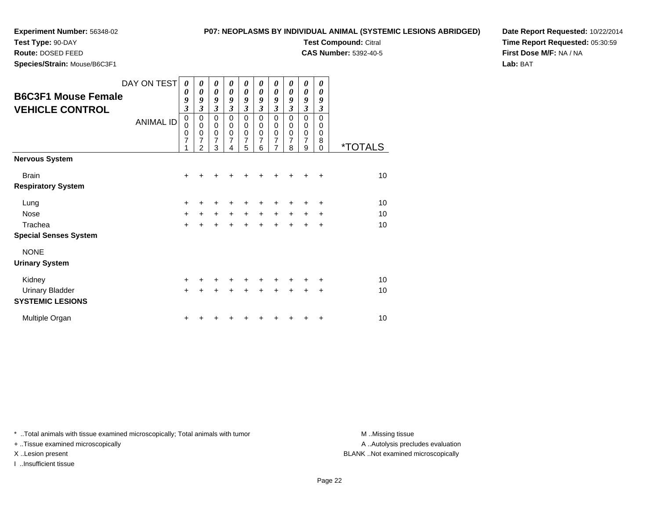**Test Type:** 90-DAY**Route:** DOSED FEED

**Species/Strain:** Mouse/B6C3F1

**P07: NEOPLASMS BY INDIVIDUAL ANIMAL (SYSTEMIC LESIONS ABRIDGED)**

**Test Compound:** Citral

**CAS Number:** 5392-40-5

**Date Report Requested:** 10/22/2014**Time Report Requested:** 05:30:59**First Dose M/F:** NA / NA**Lab:** BAT

| <b>B6C3F1 Mouse Female</b><br><b>VEHICLE CONTROL</b> | DAY ON TEST<br><b>ANIMAL ID</b> | 0<br>$\boldsymbol{\theta}$<br>9<br>$\mathfrak{z}$<br>$\pmb{0}$<br>0<br>$\mathbf 0$<br>$\overline{7}$<br>1 | $\boldsymbol{\theta}$<br>0<br>9<br>3<br>$\mathbf 0$<br>$\mathbf 0$<br>$\mathbf 0$<br>7<br>$\overline{2}$ | 0<br>$\boldsymbol{\theta}$<br>9<br>$\mathfrak{z}$<br>$\mathbf 0$<br>$\mathbf 0$<br>$\pmb{0}$<br>7<br>3 | 0<br>0<br>9<br>$\boldsymbol{\beta}$<br>$\mathbf 0$<br>$\mathbf 0$<br>$\mathbf 0$<br>$\overline{7}$<br>4 | 0<br>0<br>9<br>$\boldsymbol{\mathfrak{z}}$<br>$\mathbf 0$<br>0<br>$\mathbf 0$<br>$\overline{7}$<br>5 | 0<br>0<br>9<br>3<br>$\Omega$<br>0<br>$\mathbf 0$<br>$\overline{7}$<br>6 | 0<br>0<br>9<br>$\overline{\mathbf{3}}$<br>$\mathbf 0$<br>0<br>0<br>7<br>$\overline{7}$ | 0<br>$\boldsymbol{\theta}$<br>9<br>3<br>$\Omega$<br>0<br>$\mathbf 0$<br>$\overline{7}$<br>8 | $\boldsymbol{\theta}$<br>0<br>9<br>$\mathfrak{z}$<br>$\mathbf 0$<br>0<br>$\mathbf 0$<br>$\overline{7}$<br>9 | 0<br>0<br>9<br>3<br>$\Omega$<br>0<br>$\mathbf 0$<br>8<br>$\overline{0}$ | <i><b>*TOTALS</b></i> |
|------------------------------------------------------|---------------------------------|-----------------------------------------------------------------------------------------------------------|----------------------------------------------------------------------------------------------------------|--------------------------------------------------------------------------------------------------------|---------------------------------------------------------------------------------------------------------|------------------------------------------------------------------------------------------------------|-------------------------------------------------------------------------|----------------------------------------------------------------------------------------|---------------------------------------------------------------------------------------------|-------------------------------------------------------------------------------------------------------------|-------------------------------------------------------------------------|-----------------------|
| <b>Nervous System</b>                                |                                 |                                                                                                           |                                                                                                          |                                                                                                        |                                                                                                         |                                                                                                      |                                                                         |                                                                                        |                                                                                             |                                                                                                             |                                                                         |                       |
| <b>Brain</b>                                         |                                 | $\ddot{}$                                                                                                 |                                                                                                          |                                                                                                        |                                                                                                         |                                                                                                      |                                                                         | +                                                                                      |                                                                                             | +                                                                                                           | $\ddot{}$                                                               | 10                    |
| <b>Respiratory System</b>                            |                                 |                                                                                                           |                                                                                                          |                                                                                                        |                                                                                                         |                                                                                                      |                                                                         |                                                                                        |                                                                                             |                                                                                                             |                                                                         |                       |
| Lung                                                 |                                 | +                                                                                                         |                                                                                                          |                                                                                                        |                                                                                                         |                                                                                                      |                                                                         | +                                                                                      |                                                                                             |                                                                                                             | +                                                                       | 10                    |
| <b>Nose</b>                                          |                                 | $+$                                                                                                       | $+$                                                                                                      | $+$                                                                                                    | $+$                                                                                                     | $+$                                                                                                  | $+$                                                                     | $\ddot{}$                                                                              | $\ddot{}$                                                                                   | $\ddot{}$                                                                                                   | $\ddot{}$                                                               | 10                    |
| Trachea                                              |                                 | $\ddot{}$                                                                                                 |                                                                                                          | $\ddot{}$                                                                                              |                                                                                                         | $\ddot{}$                                                                                            | $\ddot{}$                                                               | $\ddot{}$                                                                              | $+$                                                                                         | $\ddot{}$                                                                                                   | $\ddot{}$                                                               | 10                    |
| <b>Special Senses System</b>                         |                                 |                                                                                                           |                                                                                                          |                                                                                                        |                                                                                                         |                                                                                                      |                                                                         |                                                                                        |                                                                                             |                                                                                                             |                                                                         |                       |
| <b>NONE</b>                                          |                                 |                                                                                                           |                                                                                                          |                                                                                                        |                                                                                                         |                                                                                                      |                                                                         |                                                                                        |                                                                                             |                                                                                                             |                                                                         |                       |
| <b>Urinary System</b>                                |                                 |                                                                                                           |                                                                                                          |                                                                                                        |                                                                                                         |                                                                                                      |                                                                         |                                                                                        |                                                                                             |                                                                                                             |                                                                         |                       |
| Kidney                                               |                                 | $\ddot{}$                                                                                                 |                                                                                                          | ٠                                                                                                      |                                                                                                         | ٠                                                                                                    | +                                                                       | +                                                                                      | +                                                                                           | +                                                                                                           | ÷                                                                       | 10                    |
| <b>Urinary Bladder</b>                               |                                 | $\ddot{}$                                                                                                 |                                                                                                          |                                                                                                        |                                                                                                         |                                                                                                      |                                                                         | $\ddot{}$                                                                              | $\ddot{}$                                                                                   | $\div$                                                                                                      | $\div$                                                                  | 10                    |
| <b>SYSTEMIC LESIONS</b>                              |                                 |                                                                                                           |                                                                                                          |                                                                                                        |                                                                                                         |                                                                                                      |                                                                         |                                                                                        |                                                                                             |                                                                                                             |                                                                         |                       |
| Multiple Organ                                       |                                 | +                                                                                                         |                                                                                                          |                                                                                                        |                                                                                                         |                                                                                                      |                                                                         |                                                                                        |                                                                                             | +                                                                                                           | ٠                                                                       | 10                    |

\* ..Total animals with tissue examined microscopically; Total animals with tumor **M** . Missing tissue M ..Missing tissue

+ ..Tissue examined microscopically

I ..Insufficient tissue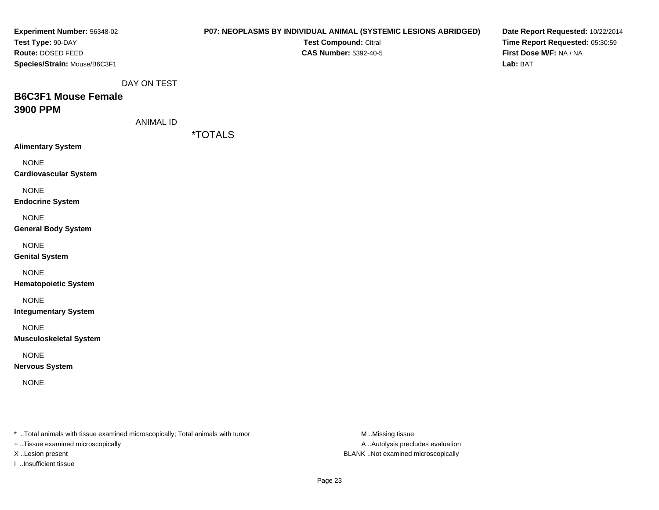| Experiment Number: 56348-02                                                                                         |                  |                       |                              | <b>P07: NEOPLASMS BY INDIVIDUAL ANIMAL (SYSTEMIC LESIONS ABRIDGED)</b> | Date Report Requested: 10/22/2014 |
|---------------------------------------------------------------------------------------------------------------------|------------------|-----------------------|------------------------------|------------------------------------------------------------------------|-----------------------------------|
| Test Type: 90-DAY                                                                                                   |                  |                       | Test Compound: Citral        |                                                                        | Time Report Requested: 05:30:59   |
| Route: DOSED FEED                                                                                                   |                  |                       | <b>CAS Number: 5392-40-5</b> |                                                                        | First Dose M/F: NA / NA           |
| Species/Strain: Mouse/B6C3F1                                                                                        |                  |                       |                              |                                                                        | Lab: BAT                          |
|                                                                                                                     |                  |                       |                              |                                                                        |                                   |
|                                                                                                                     | DAY ON TEST      |                       |                              |                                                                        |                                   |
| <b>B6C3F1 Mouse Female</b>                                                                                          |                  |                       |                              |                                                                        |                                   |
| 3900 PPM                                                                                                            |                  |                       |                              |                                                                        |                                   |
|                                                                                                                     | <b>ANIMAL ID</b> |                       |                              |                                                                        |                                   |
|                                                                                                                     |                  | <i><b>*TOTALS</b></i> |                              |                                                                        |                                   |
| <b>Alimentary System</b>                                                                                            |                  |                       |                              |                                                                        |                                   |
| <b>NONE</b>                                                                                                         |                  |                       |                              |                                                                        |                                   |
| <b>Cardiovascular System</b>                                                                                        |                  |                       |                              |                                                                        |                                   |
|                                                                                                                     |                  |                       |                              |                                                                        |                                   |
| <b>NONE</b>                                                                                                         |                  |                       |                              |                                                                        |                                   |
| <b>Endocrine System</b>                                                                                             |                  |                       |                              |                                                                        |                                   |
| <b>NONE</b>                                                                                                         |                  |                       |                              |                                                                        |                                   |
| <b>General Body System</b>                                                                                          |                  |                       |                              |                                                                        |                                   |
| <b>NONE</b>                                                                                                         |                  |                       |                              |                                                                        |                                   |
| <b>Genital System</b>                                                                                               |                  |                       |                              |                                                                        |                                   |
|                                                                                                                     |                  |                       |                              |                                                                        |                                   |
| <b>NONE</b>                                                                                                         |                  |                       |                              |                                                                        |                                   |
| <b>Hematopoietic System</b>                                                                                         |                  |                       |                              |                                                                        |                                   |
| <b>NONE</b>                                                                                                         |                  |                       |                              |                                                                        |                                   |
| <b>Integumentary System</b>                                                                                         |                  |                       |                              |                                                                        |                                   |
| <b>NONE</b>                                                                                                         |                  |                       |                              |                                                                        |                                   |
| <b>Musculoskeletal System</b>                                                                                       |                  |                       |                              |                                                                        |                                   |
|                                                                                                                     |                  |                       |                              |                                                                        |                                   |
| <b>NONE</b>                                                                                                         |                  |                       |                              |                                                                        |                                   |
| <b>Nervous System</b>                                                                                               |                  |                       |                              |                                                                        |                                   |
| <b>NONE</b>                                                                                                         |                  |                       |                              |                                                                        |                                   |
|                                                                                                                     |                  |                       |                              |                                                                        |                                   |
|                                                                                                                     |                  |                       |                              |                                                                        |                                   |
|                                                                                                                     |                  |                       |                              |                                                                        |                                   |
|                                                                                                                     |                  |                       |                              |                                                                        |                                   |
| * Total animals with tissue examined microscopically; Total animals with tumor<br>+ Tissue examined microscopically |                  |                       |                              | M Missing tissue<br>A  Autolysis precludes evaluation                  |                                   |
|                                                                                                                     |                  |                       |                              |                                                                        |                                   |

X ..Lesion present BLANK ..Not examined microscopically

I ..Insufficient tissue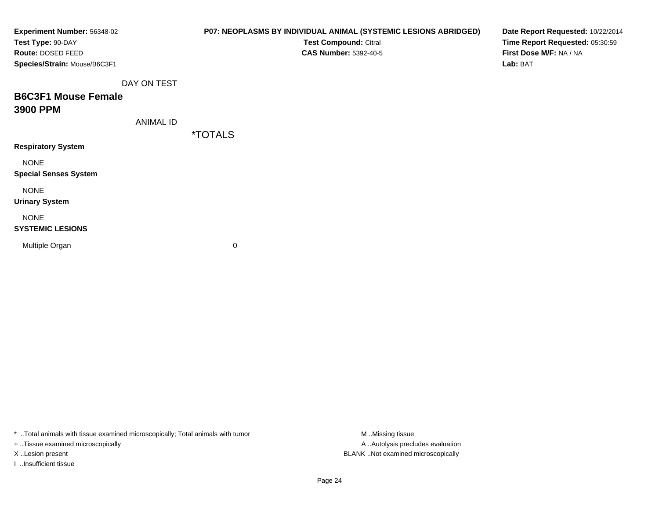| <b>Experiment Number: 56348-02</b><br>Test Type: 90-DAY |                  | P07: NEOPLASMS BY INDIVIDUAL ANIMAL (SYSTEMIC LESIONS ABRIDGED)<br>Test Compound: Citral | Date Report Requested: 10/22/2014<br>Time Report Requested: 05:30:59 |
|---------------------------------------------------------|------------------|------------------------------------------------------------------------------------------|----------------------------------------------------------------------|
| Route: DOSED FEED                                       |                  | <b>CAS Number: 5392-40-5</b>                                                             | First Dose M/F: NA / NA                                              |
| Species/Strain: Mouse/B6C3F1                            |                  |                                                                                          | Lab: BAT                                                             |
|                                                         | DAY ON TEST      |                                                                                          |                                                                      |
| <b>B6C3F1 Mouse Female</b>                              |                  |                                                                                          |                                                                      |
| 3900 PPM                                                |                  |                                                                                          |                                                                      |
|                                                         | <b>ANIMAL ID</b> |                                                                                          |                                                                      |
|                                                         |                  | <i><b>*TOTALS</b></i>                                                                    |                                                                      |
| <b>Respiratory System</b>                               |                  |                                                                                          |                                                                      |
| <b>NONE</b>                                             |                  |                                                                                          |                                                                      |
| <b>Special Senses System</b>                            |                  |                                                                                          |                                                                      |
| <b>NONE</b>                                             |                  |                                                                                          |                                                                      |
| <b>Urinary System</b>                                   |                  |                                                                                          |                                                                      |
| <b>NONE</b>                                             |                  |                                                                                          |                                                                      |
| <b>SYSTEMIC LESIONS</b>                                 |                  |                                                                                          |                                                                      |
| Multiple Organ                                          |                  | 0                                                                                        |                                                                      |
|                                                         |                  |                                                                                          |                                                                      |
|                                                         |                  |                                                                                          |                                                                      |

\* ..Total animals with tissue examined microscopically; Total animals with tumor M..Missing tissue M ..Missing tissue

+ ..Tissue examined microscopically

I ..Insufficient tissue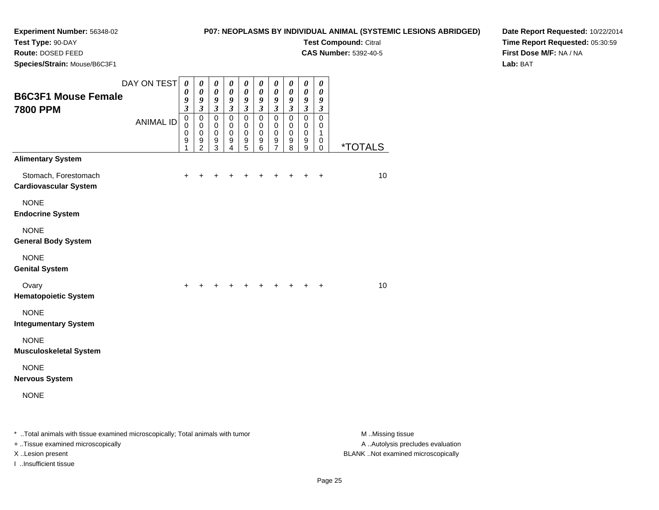# **P07: NEOPLASMS BY INDIVIDUAL ANIMAL (SYSTEMIC LESIONS ABRIDGED)**

**Test Compound:** Citral **CAS Number:** 5392-40-5

**Test Type:** 90-DAY

**Route:** DOSED FEED

**Species/Strain:** Mouse/B6C3F1

**Date Report Requested:** 10/22/2014**Time Report Requested:** 05:30:59**First Dose M/F:** NA / NA**Lab:** BAT

| <b>B6C3F1 Mouse Female</b>                                                     | DAY ON TEST      | $\boldsymbol{\theta}$<br>0<br>9 | 0<br>0<br>9                                       | $\boldsymbol{\theta}$<br>$\boldsymbol{\theta}$<br>$\pmb{9}$ | $\pmb{\theta}$<br>0<br>$\boldsymbol{g}$ | $\boldsymbol{\theta}$<br>0<br>9         | $\boldsymbol{\theta}$<br>$\boldsymbol{\theta}$<br>$\boldsymbol{g}$ | $\boldsymbol{\theta}$<br>0<br>$\boldsymbol{g}$ | 0<br>0<br>9                           | $\pmb{\theta}$<br>$\boldsymbol{\theta}$<br>$\boldsymbol{g}$ | 0<br>0<br>9                         |                       |
|--------------------------------------------------------------------------------|------------------|---------------------------------|---------------------------------------------------|-------------------------------------------------------------|-----------------------------------------|-----------------------------------------|--------------------------------------------------------------------|------------------------------------------------|---------------------------------------|-------------------------------------------------------------|-------------------------------------|-----------------------|
| <b>7800 PPM</b>                                                                | <b>ANIMAL ID</b> | $\mathfrak{z}$<br>$\pmb{0}$     | $\boldsymbol{\mathfrak{z}}$<br>$\mathbf 0$        | $\boldsymbol{\beta}$<br>$\mathbf 0$                         | $\boldsymbol{\beta}$<br>$\mathbf 0$     | $\boldsymbol{\beta}$<br>$\pmb{0}$       | $\boldsymbol{\beta}$<br>$\mathbf 0$                                | $\boldsymbol{\beta}$<br>$\mathbf 0$            | $\boldsymbol{\beta}$<br>$\mathbf 0$   | $\boldsymbol{\mathfrak{z}}$<br>$\mathbf 0$                  | $\boldsymbol{\beta}$<br>$\mathbf 0$ |                       |
|                                                                                |                  | 0<br>0<br>9<br>1                | $\mathbf 0$<br>$\mathbf 0$<br>9<br>$\overline{2}$ | 0<br>$\mathbf 0$<br>9<br>3                                  | 0<br>$\mathbf 0$<br>9<br>$\overline{4}$ | 0<br>$\mathbf 0$<br>9<br>$\overline{5}$ | $\mathbf 0$<br>$\mathbf 0$<br>9<br>$\,6$                           | 0<br>$\pmb{0}$<br>9<br>$\overline{7}$          | 0<br>$\pmb{0}$<br>9<br>$\overline{8}$ | 0<br>$\mathbf 0$<br>9<br>9                                  | 0<br>1<br>0<br>0                    | <i><b>*TOTALS</b></i> |
| <b>Alimentary System</b>                                                       |                  |                                 |                                                   |                                                             |                                         |                                         |                                                                    |                                                |                                       |                                                             |                                     |                       |
| Stomach, Forestomach<br><b>Cardiovascular System</b>                           |                  | $\pm$                           | +                                                 |                                                             |                                         |                                         | $\pm$                                                              | +                                              | +                                     | +                                                           | $\ddot{}$                           | 10                    |
| <b>NONE</b><br><b>Endocrine System</b>                                         |                  |                                 |                                                   |                                                             |                                         |                                         |                                                                    |                                                |                                       |                                                             |                                     |                       |
| <b>NONE</b><br><b>General Body System</b>                                      |                  |                                 |                                                   |                                                             |                                         |                                         |                                                                    |                                                |                                       |                                                             |                                     |                       |
| <b>NONE</b><br><b>Genital System</b>                                           |                  |                                 |                                                   |                                                             |                                         |                                         |                                                                    |                                                |                                       |                                                             |                                     |                       |
| Ovary<br><b>Hematopoietic System</b>                                           |                  | $\ddot{}$                       |                                                   |                                                             |                                         |                                         |                                                                    | $\ddot{}$                                      | +                                     | $\ddot{}$                                                   | $\ddot{}$                           | 10                    |
| <b>NONE</b><br><b>Integumentary System</b>                                     |                  |                                 |                                                   |                                                             |                                         |                                         |                                                                    |                                                |                                       |                                                             |                                     |                       |
| <b>NONE</b><br><b>Musculoskeletal System</b>                                   |                  |                                 |                                                   |                                                             |                                         |                                         |                                                                    |                                                |                                       |                                                             |                                     |                       |
| <b>NONE</b><br><b>Nervous System</b>                                           |                  |                                 |                                                   |                                                             |                                         |                                         |                                                                    |                                                |                                       |                                                             |                                     |                       |
| <b>NONE</b>                                                                    |                  |                                 |                                                   |                                                             |                                         |                                         |                                                                    |                                                |                                       |                                                             |                                     |                       |
| * Total animals with tissue examined microscopically; Total animals with tumor |                  |                                 |                                                   |                                                             |                                         |                                         |                                                                    |                                                |                                       |                                                             |                                     | M Missing tissue      |

+ ..Tissue examined microscopically

I ..Insufficient tissue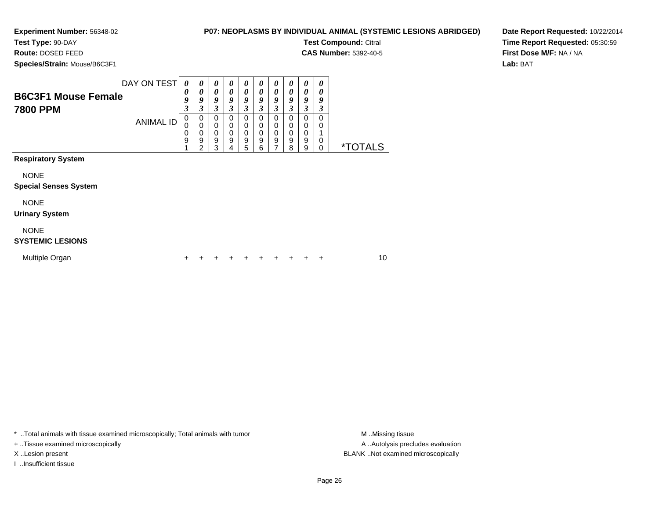**Test Type:** 90-DAY

**Route:** DOSED FEED

**Species/Strain:** Mouse/B6C3F1

#### **P07: NEOPLASMS BY INDIVIDUAL ANIMAL (SYSTEMIC LESIONS ABRIDGED)**

**Test Compound:** Citral

**CAS Number:** 5392-40-5

**Date Report Requested:** 10/22/2014**Time Report Requested:** 05:30:59**First Dose M/F:** NA / NA**Lab:** BAT

| <b>B6C3F1 Mouse Female</b><br><b>7800 PPM</b> | DAY ON TEST      | 0<br>$\boldsymbol{\theta}$<br>9<br>3 | 0<br>0<br>9<br>3                                    | 0<br>0<br>9<br>3                          | 0<br>$\boldsymbol{\theta}$<br>9<br>3    | 0<br>0<br>9<br>3      | $\boldsymbol{\theta}$<br>$\boldsymbol{\theta}$<br>9<br>3 | 0<br>$\boldsymbol{\theta}$<br>9<br>3 | 0<br>0<br>9<br>3                | 0<br>0<br>9<br>3      | 0<br>0<br>9<br>3      |                       |    |
|-----------------------------------------------|------------------|--------------------------------------|-----------------------------------------------------|-------------------------------------------|-----------------------------------------|-----------------------|----------------------------------------------------------|--------------------------------------|---------------------------------|-----------------------|-----------------------|-----------------------|----|
|                                               | <b>ANIMAL ID</b> | 0<br>$\mathbf 0$<br>0<br>9           | 0<br>$\pmb{0}$<br>$\mathbf 0$<br>9<br>$\mathcal{P}$ | 0<br>$\mathbf 0$<br>$\mathbf 0$<br>9<br>3 | 0<br>$\mathbf 0$<br>$\pmb{0}$<br>9<br>4 | 0<br>0<br>0<br>9<br>5 | 0<br>0<br>$\mathbf 0$<br>9<br>6                          | 0<br>0<br>$\mathbf 0$<br>9<br>7      | 0<br>0<br>$\mathbf 0$<br>9<br>8 | 0<br>0<br>0<br>9<br>9 | 0<br>0<br>1<br>0<br>0 | <i><b>*TOTALS</b></i> |    |
| <b>Respiratory System</b>                     |                  |                                      |                                                     |                                           |                                         |                       |                                                          |                                      |                                 |                       |                       |                       |    |
| <b>NONE</b><br><b>Special Senses System</b>   |                  |                                      |                                                     |                                           |                                         |                       |                                                          |                                      |                                 |                       |                       |                       |    |
| <b>NONE</b><br><b>Urinary System</b>          |                  |                                      |                                                     |                                           |                                         |                       |                                                          |                                      |                                 |                       |                       |                       |    |
| <b>NONE</b><br><b>SYSTEMIC LESIONS</b>        |                  |                                      |                                                     |                                           |                                         |                       |                                                          |                                      |                                 |                       |                       |                       |    |
| Multiple Organ                                |                  | +                                    |                                                     |                                           |                                         |                       | +                                                        |                                      |                                 |                       | ÷                     |                       | 10 |

\* ..Total animals with tissue examined microscopically; Total animals with tumor **M** . Missing tissue M ..Missing tissue

+ ..Tissue examined microscopically

I ..Insufficient tissue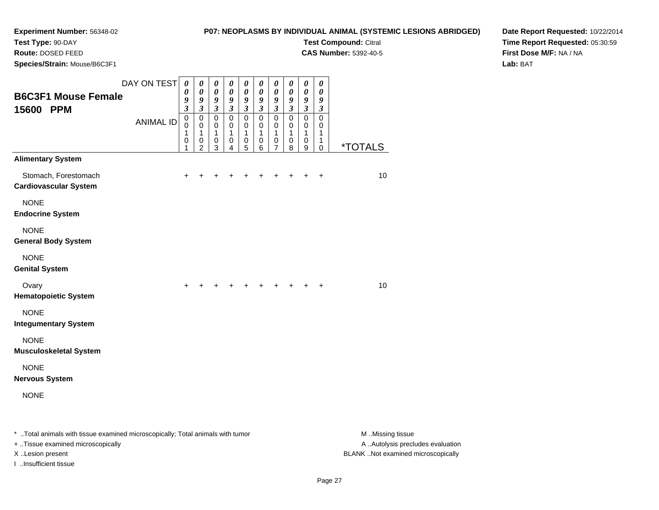# **P07: NEOPLASMS BY INDIVIDUAL ANIMAL (SYSTEMIC LESIONS ABRIDGED)**

**Test Compound:** Citral **CAS Number:** 5392-40-5

**Test Type:** 90-DAY

**Route:** DOSED FEED

**Species/Strain:** Mouse/B6C3F1

**Date Report Requested:** 10/22/2014**Time Report Requested:** 05:30:59**First Dose M/F:** NA / NA**Lab:** BAT

|                                                                                | DAY ON TEST      | $\boldsymbol{\theta}$<br>0                | $\boldsymbol{\theta}$<br>0                   | $\pmb{\theta}$<br>$\boldsymbol{\theta}$          | $\boldsymbol{\theta}$<br>0               | $\boldsymbol{\theta}$<br>0              | $\boldsymbol{\theta}$<br>$\boldsymbol{\theta}$ | $\pmb{\theta}$<br>$\boldsymbol{\theta}$    | $\boldsymbol{\theta}$<br>$\boldsymbol{\theta}$ | $\boldsymbol{\theta}$<br>$\boldsymbol{\theta}$                    | $\boldsymbol{\theta}$<br>0                |                       |
|--------------------------------------------------------------------------------|------------------|-------------------------------------------|----------------------------------------------|--------------------------------------------------|------------------------------------------|-----------------------------------------|------------------------------------------------|--------------------------------------------|------------------------------------------------|-------------------------------------------------------------------|-------------------------------------------|-----------------------|
| <b>B6C3F1 Mouse Female</b><br>15600 PPM                                        |                  | 9<br>$\boldsymbol{\beta}$                 | 9<br>$\boldsymbol{\beta}$                    | 9<br>$\boldsymbol{\beta}$                        | $\boldsymbol{g}$<br>$\boldsymbol{\beta}$ | 9<br>$\boldsymbol{\beta}$               | $\boldsymbol{g}$<br>$\boldsymbol{\beta}$       | 9<br>$\mathfrak{z}$                        | 9<br>$\boldsymbol{\beta}$                      | $\boldsymbol{g}$<br>$\boldsymbol{\beta}$                          | $\boldsymbol{g}$<br>$\boldsymbol{\beta}$  |                       |
|                                                                                | <b>ANIMAL ID</b> | $\mathsf 0$<br>0<br>1<br>$\mathbf 0$<br>1 | $\mathbf 0$<br>0<br>1<br>0<br>$\overline{2}$ | $\pmb{0}$<br>0<br>$\mathbf{1}$<br>$\pmb{0}$<br>3 | $\pmb{0}$<br>0<br>1<br>0<br>4            | $\mathbf 0$<br>0<br>1<br>$\pmb{0}$<br>5 | $\mathbf 0$<br>0<br>1<br>0<br>6                | $\pmb{0}$<br>0<br>1<br>0<br>$\overline{7}$ | $\pmb{0}$<br>0<br>1<br>0<br>8                  | $\pmb{0}$<br>$\mathbf 0$<br>$\mathbf{1}$<br>0<br>$\boldsymbol{9}$ | $\mathbf 0$<br>0<br>1<br>1<br>$\mathbf 0$ | <i><b>*TOTALS</b></i> |
| <b>Alimentary System</b>                                                       |                  |                                           |                                              |                                                  |                                          |                                         |                                                |                                            |                                                |                                                                   |                                           |                       |
| Stomach, Forestomach<br><b>Cardiovascular System</b>                           |                  | $\pm$                                     |                                              |                                                  |                                          |                                         |                                                | +                                          |                                                | $\ddot{}$                                                         | $\ddot{}$                                 | 10                    |
| <b>NONE</b><br><b>Endocrine System</b>                                         |                  |                                           |                                              |                                                  |                                          |                                         |                                                |                                            |                                                |                                                                   |                                           |                       |
| <b>NONE</b><br><b>General Body System</b>                                      |                  |                                           |                                              |                                                  |                                          |                                         |                                                |                                            |                                                |                                                                   |                                           |                       |
| <b>NONE</b><br><b>Genital System</b>                                           |                  |                                           |                                              |                                                  |                                          |                                         |                                                |                                            |                                                |                                                                   |                                           |                       |
| Ovary<br><b>Hematopoietic System</b>                                           |                  | $\ddot{}$                                 |                                              |                                                  |                                          |                                         |                                                |                                            |                                                |                                                                   | $\ddot{}$                                 | 10                    |
| <b>NONE</b><br><b>Integumentary System</b>                                     |                  |                                           |                                              |                                                  |                                          |                                         |                                                |                                            |                                                |                                                                   |                                           |                       |
| <b>NONE</b><br><b>Musculoskeletal System</b>                                   |                  |                                           |                                              |                                                  |                                          |                                         |                                                |                                            |                                                |                                                                   |                                           |                       |
| <b>NONE</b><br><b>Nervous System</b>                                           |                  |                                           |                                              |                                                  |                                          |                                         |                                                |                                            |                                                |                                                                   |                                           |                       |
| <b>NONE</b>                                                                    |                  |                                           |                                              |                                                  |                                          |                                         |                                                |                                            |                                                |                                                                   |                                           |                       |
| * Total animals with tissue examined microscopically; Total animals with tumor |                  |                                           |                                              |                                                  |                                          |                                         |                                                |                                            |                                                |                                                                   |                                           | M Missing tissue      |

+ ..Tissue examined microscopically

I ..Insufficient tissue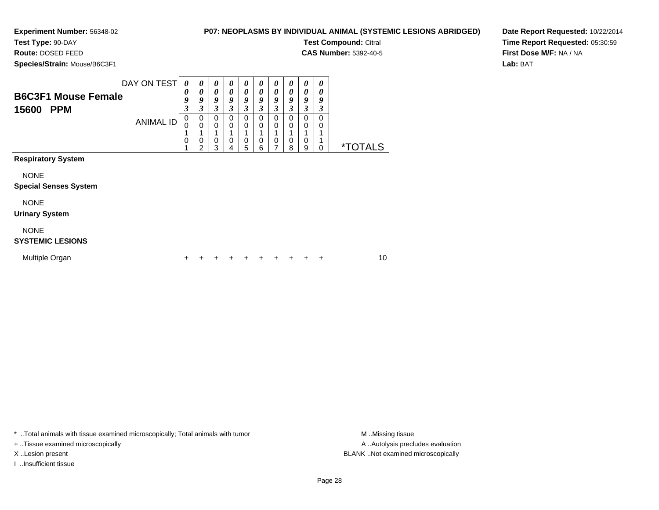**Test Type:** 90-DAY

**Route:** DOSED FEED

**Species/Strain:** Mouse/B6C3F1

#### **P07: NEOPLASMS BY INDIVIDUAL ANIMAL (SYSTEMIC LESIONS ABRIDGED)**

**Test Compound:** Citral

**CAS Number:** 5392-40-5

**Date Report Requested:** 10/22/2014**Time Report Requested:** 05:30:59**First Dose M/F:** NA / NA**Lab:** BAT

| <b>B6C3F1 Mouse Female</b><br>15600<br><b>PPM</b> | DAY ON TEST<br><b>ANIMAL ID</b> | $\boldsymbol{\theta}$<br>0<br>9<br>3<br>0<br>0<br>0 | $\boldsymbol{\theta}$<br>0<br>9<br>3<br>0<br>$\Omega$<br>0<br>2 | 0<br>0<br>9<br>3<br>0<br>0<br>0<br>3 | 0<br>$\boldsymbol{\theta}$<br>9<br>3<br>$\mathbf 0$<br>$\mathbf 0$<br>$\mathbf 0$<br>4 | $\boldsymbol{\theta}$<br>$\boldsymbol{\theta}$<br>9<br>3<br>0<br>0<br>0<br>5 | 0<br>0<br>9<br>3<br>0<br>0<br>0<br>6 | 0<br>0<br>9<br>3<br>0<br>0<br>0<br>7 | 0<br>0<br>9<br>3<br>0<br>0<br>0<br>8 | 0<br>0<br>9<br>3<br>$\Omega$<br>0<br>0<br>9 | 0<br>0<br>9<br>3<br>0<br>0<br>0 | <i><b>*TOTALS</b></i> |    |
|---------------------------------------------------|---------------------------------|-----------------------------------------------------|-----------------------------------------------------------------|--------------------------------------|----------------------------------------------------------------------------------------|------------------------------------------------------------------------------|--------------------------------------|--------------------------------------|--------------------------------------|---------------------------------------------|---------------------------------|-----------------------|----|
| <b>Respiratory System</b>                         |                                 |                                                     |                                                                 |                                      |                                                                                        |                                                                              |                                      |                                      |                                      |                                             |                                 |                       |    |
| <b>NONE</b><br><b>Special Senses System</b>       |                                 |                                                     |                                                                 |                                      |                                                                                        |                                                                              |                                      |                                      |                                      |                                             |                                 |                       |    |
| <b>NONE</b><br><b>Urinary System</b>              |                                 |                                                     |                                                                 |                                      |                                                                                        |                                                                              |                                      |                                      |                                      |                                             |                                 |                       |    |
| <b>NONE</b><br><b>SYSTEMIC LESIONS</b>            |                                 |                                                     |                                                                 |                                      |                                                                                        |                                                                              |                                      |                                      |                                      |                                             |                                 |                       |    |
| Multiple Organ                                    |                                 | +                                                   |                                                                 |                                      |                                                                                        |                                                                              | +                                    | +                                    |                                      |                                             | ÷                               |                       | 10 |

\* ..Total animals with tissue examined microscopically; Total animals with tumor **M** . Missing tissue M ..Missing tissue

+ ..Tissue examined microscopically

I ..Insufficient tissue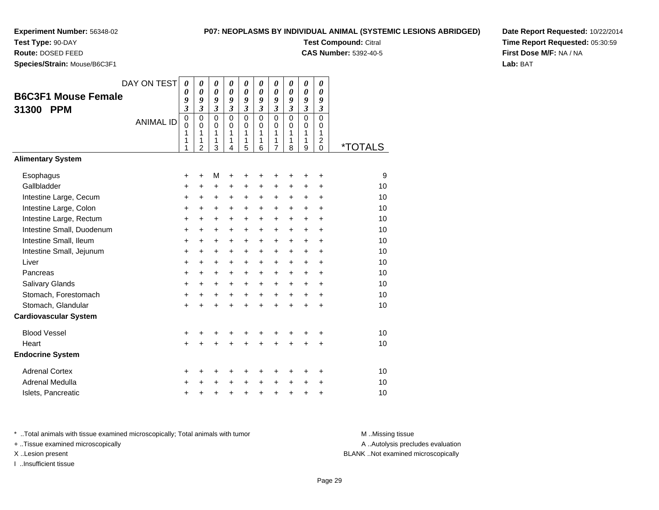**Test Type:** 90-DAY

**Route:** DOSED FEED

**Species/Strain:** Mouse/B6C3F1

#### **P07: NEOPLASMS BY INDIVIDUAL ANIMAL (SYSTEMIC LESIONS ABRIDGED)**

**Test Compound:** Citral

**CAS Number:** 5392-40-5

**Date Report Requested:** 10/22/2014**Time Report Requested:** 05:30:59**First Dose M/F:** NA / NA**Lab:** BAT

|                              | DAY ON TEST      | $\theta$                | 0                          | $\boldsymbol{\theta}$      | 0                          | 0           | 0             | 0                   | $\boldsymbol{\theta}$ | 0                          | 0                            |                       |
|------------------------------|------------------|-------------------------|----------------------------|----------------------------|----------------------------|-------------|---------------|---------------------|-----------------------|----------------------------|------------------------------|-----------------------|
| <b>B6C3F1 Mouse Female</b>   |                  | 0<br>9                  | $\boldsymbol{\theta}$<br>9 | $\boldsymbol{\theta}$<br>9 | $\boldsymbol{\theta}$<br>9 | 0<br>9      | 0<br>9        | 0<br>9              | 0<br>9                | $\boldsymbol{\theta}$<br>9 | 0<br>9                       |                       |
| <b>PPM</b><br>31300          |                  | $\overline{\mathbf{3}}$ | $\mathfrak{z}$             | $\overline{\mathbf{3}}$    | $\mathfrak{z}$             | 3           | 3             | $\mathfrak{z}$      | $\mathfrak{z}$        | $\overline{\mathbf{3}}$    | 3                            |                       |
|                              | <b>ANIMAL ID</b> | 0                       | $\mathbf 0$                | 0                          | $\Omega$                   | $\mathbf 0$ | $\Omega$      | $\mathbf 0$         | $\Omega$              | $\mathbf 0$                | $\mathbf 0$                  |                       |
|                              |                  | 0<br>1                  | 0<br>1                     | 0<br>1                     | 0<br>1                     | 0<br>1      | $\Omega$<br>1 | 0<br>1              | $\Omega$<br>1         | 0<br>1                     | 0<br>1                       |                       |
|                              |                  | 1<br>1                  | 1<br>$\overline{2}$        | 1<br>3                     | 1<br>4                     | 1<br>5      | 1<br>6        | 1<br>$\overline{7}$ | 1<br>8                | 1<br>9                     | $\overline{\mathbf{c}}$<br>0 | <i><b>*TOTALS</b></i> |
| <b>Alimentary System</b>     |                  |                         |                            |                            |                            |             |               |                     |                       |                            |                              |                       |
| Esophagus                    |                  | +                       | $\ddot{}$                  | M                          | +                          | +           | +             | +                   | +                     | +                          | +                            | 9                     |
| Gallbladder                  |                  | +                       | +                          | $\ddot{}$                  | +                          | +           | +             | +                   | +                     | +                          | +                            | 10                    |
| Intestine Large, Cecum       |                  | $\ddot{}$               | $\ddot{}$                  | $\ddot{}$                  | +                          | $\ddot{}$   | +             | $\ddot{}$           | $\ddot{}$             | $\ddot{}$                  | $\ddot{}$                    | 10                    |
| Intestine Large, Colon       |                  | +                       | $\ddot{}$                  | $\ddot{}$                  | $\ddot{}$                  | $\ddot{}$   | $\ddot{}$     | $\ddot{}$           | $\ddot{}$             | $\ddot{}$                  | $\ddot{}$                    | 10                    |
| Intestine Large, Rectum      |                  | $\ddot{}$               | $\ddot{}$                  | $\ddot{}$                  | $\ddot{}$                  | $\ddot{}$   | $\ddot{}$     | $\ddot{}$           | $\ddot{}$             | $\ddot{}$                  | $\ddot{}$                    | 10                    |
| Intestine Small, Duodenum    |                  | +                       | +                          | $\ddot{}$                  | +                          | +           | $\ddot{}$     | $\ddot{}$           | $\ddot{}$             | $\ddot{}$                  | $\ddot{}$                    | 10                    |
| Intestine Small, Ileum       |                  | $\pmb{+}$               | $\ddot{}$                  | $\ddot{}$                  | $\ddot{}$                  | +           | +             | $\ddot{}$           | $\ddot{}$             | $\ddot{}$                  | $\ddot{}$                    | 10                    |
| Intestine Small, Jejunum     |                  | +                       | +                          | $\ddot{}$                  | $\ddot{}$                  | $\ddot{}$   | $\ddot{}$     | $\ddot{}$           | $\ddot{}$             | $\ddot{}$                  | $\ddot{}$                    | 10                    |
| Liver                        |                  | $\pmb{+}$               | $\ddot{}$                  | $\ddot{}$                  | $\ddot{}$                  | +           | +             | $\ddot{}$           | $\ddot{}$             | $\ddot{}$                  | $\ddot{}$                    | 10                    |
| Pancreas                     |                  | $\ddot{}$               | +                          | $\ddot{}$                  | $\ddot{}$                  | +           | $\ddot{}$     | +                   | $\ddot{}$             | $\ddot{}$                  | $\ddot{}$                    | 10                    |
| <b>Salivary Glands</b>       |                  | $\ddot{}$               | $\ddot{}$                  | $\ddot{}$                  | $\ddot{}$                  | +           | +             | $\ddot{}$           | $\ddot{}$             | $\ddot{}$                  | $\ddot{}$                    | 10                    |
| Stomach, Forestomach         |                  | $\ddot{}$               | +                          | $\ddot{}$                  | $\ddot{}$                  | $\ddot{}$   | $\ddot{}$     | $\ddot{}$           | $+$                   | $\ddot{}$                  | $\ddot{}$                    | 10                    |
| Stomach, Glandular           |                  | $\ddot{}$               |                            | +                          | $\ddot{}$                  | $\ddot{}$   | $\ddot{}$     | $\ddot{}$           | $\ddot{}$             | $\ddot{}$                  | $\ddot{}$                    | 10                    |
| <b>Cardiovascular System</b> |                  |                         |                            |                            |                            |             |               |                     |                       |                            |                              |                       |
| <b>Blood Vessel</b>          |                  | +                       | +                          | +                          | +                          | +           | +             | +                   | +                     | +                          | +                            | 10                    |
| Heart                        |                  | $\ddot{}$               |                            |                            |                            | $\ddot{}$   |               | $\ddot{}$           | $\ddot{}$             | $\ddot{}$                  | $\ddot{}$                    | 10                    |
| <b>Endocrine System</b>      |                  |                         |                            |                            |                            |             |               |                     |                       |                            |                              |                       |
| <b>Adrenal Cortex</b>        |                  | +                       | +                          | +                          | +                          | +           | +             | +                   | +                     | +                          | +                            | 10                    |
| Adrenal Medulla              |                  | +                       | +                          | +                          | $\ddot{}$                  | +           | $\ddot{}$     | +                   | $\ddot{}$             | +                          | +                            | 10                    |
| Islets, Pancreatic           |                  | +                       | +                          | +                          | +                          | +           | +             | +                   | +                     | +                          | +                            | 10                    |

\* ..Total animals with tissue examined microscopically; Total animals with tumor **M** . Missing tissue M ..Missing tissue

+ ..Tissue examined microscopically

X ..Lesion present BLANK ..Not examined microscopically

I ..Insufficient tissue

A ..Autolysis precludes evaluation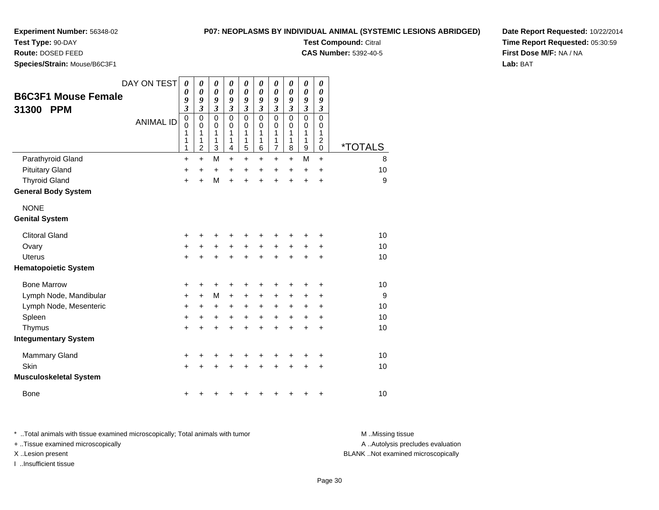### **P07: NEOPLASMS BY INDIVIDUAL ANIMAL (SYSTEMIC LESIONS ABRIDGED)**

**Test Compound:** Citral **CAS Number:** 5392-40-5

**Test Type:** 90-DAY

**Route:** DOSED FEED

**Species/Strain:** Mouse/B6C3F1

|                               | DAY ON TEST      | $\boldsymbol{\theta}$<br>0 | 0<br>$\boldsymbol{\theta}$ | 0<br>0                      | 0<br>0                  | 0<br>0                  | 0<br>0                  | 0<br>$\boldsymbol{\theta}$ | 0<br>0                  | $\pmb{\theta}$<br>0   | 0<br>0                        |                       |  |
|-------------------------------|------------------|----------------------------|----------------------------|-----------------------------|-------------------------|-------------------------|-------------------------|----------------------------|-------------------------|-----------------------|-------------------------------|-----------------------|--|
| <b>B6C3F1 Mouse Female</b>    |                  | 9                          | 9                          | 9                           | 9                       | 9                       | 9                       | 9                          | 9                       | 9                     | 9                             |                       |  |
| <b>PPM</b><br>31300           |                  | 3                          | $\mathfrak{z}$             | $\boldsymbol{\mathfrak{z}}$ | $\overline{\mathbf{3}}$ | $\overline{\mathbf{3}}$ | $\overline{\mathbf{3}}$ | $\overline{\mathbf{3}}$    | $\overline{\mathbf{3}}$ | $\mathfrak{z}$        | $\boldsymbol{\beta}$          |                       |  |
|                               | <b>ANIMAL ID</b> | $\mathbf 0$<br>0           | $\mathbf 0$<br>$\mathbf 0$ | $\mathbf 0$<br>0            | 0<br>0                  | 0<br>0                  | 0<br>$\mathbf 0$        | $\mathbf 0$<br>0           | $\mathbf 0$<br>0        | $\mathbf 0$<br>0      | $\mathbf 0$<br>0              |                       |  |
|                               |                  | 1                          | 1                          | 1                           | 1                       | 1                       | 1                       | 1                          | 1                       | 1                     | 1                             |                       |  |
|                               |                  | 1<br>1                     | 1<br>$\overline{c}$        | 1<br>3                      | 1<br>4                  | 1<br>5                  | 1<br>6                  | 1<br>7                     | 1<br>8                  | 1<br>$\boldsymbol{9}$ | $\overline{c}$<br>$\mathbf 0$ | <i><b>*TOTALS</b></i> |  |
| Parathyroid Gland             |                  | $\ddot{}$                  | $+$                        | M                           | $\ddot{}$               | $+$                     | $\ddot{}$               | $+$                        | $+$                     | M                     | $\ddot{}$                     | 8                     |  |
| <b>Pituitary Gland</b>        |                  | +                          | +                          | +                           | +                       | +                       | $\ddot{}$               | $\ddot{}$                  | $\ddot{}$               | $\ddot{}$             | $\ddot{}$                     | 10                    |  |
| <b>Thyroid Gland</b>          |                  | $\ddot{}$                  | $\ddot{}$                  | M                           | $\ddot{}$               | $\ddot{}$               | $\ddot{}$               | $\ddot{}$                  | $\ddot{}$               | $\ddot{}$             | $\ddot{}$                     | 9                     |  |
| <b>General Body System</b>    |                  |                            |                            |                             |                         |                         |                         |                            |                         |                       |                               |                       |  |
| <b>NONE</b>                   |                  |                            |                            |                             |                         |                         |                         |                            |                         |                       |                               |                       |  |
| <b>Genital System</b>         |                  |                            |                            |                             |                         |                         |                         |                            |                         |                       |                               |                       |  |
| <b>Clitoral Gland</b>         |                  | +                          | +                          | +                           | +                       |                         | +                       |                            |                         | +                     | +                             | 10                    |  |
| Ovary                         |                  | $\ddot{}$                  | $\ddot{}$                  | $\ddot{}$                   | $\ddot{}$               | $+$                     | $\ddot{}$               | $\ddot{}$                  | $+$                     | $\ddot{}$             | $\ddot{}$                     | 10                    |  |
| <b>Uterus</b>                 |                  | $\ddot{}$                  | $\div$                     | +                           | $\ddot{}$               | $\ddot{}$               | $\ddot{}$               | $\ddot{}$                  | +                       | $\ddot{}$             | +                             | 10                    |  |
| <b>Hematopoietic System</b>   |                  |                            |                            |                             |                         |                         |                         |                            |                         |                       |                               |                       |  |
| <b>Bone Marrow</b>            |                  | +                          | +                          | +                           | +                       | ٠                       | +                       | +                          | +                       | +                     | +                             | 10                    |  |
| Lymph Node, Mandibular        |                  | $\ddot{}$                  | $\ddot{}$                  | M                           | $\ddot{}$               | +                       | +                       | +                          | +                       | +                     | +                             | 9                     |  |
| Lymph Node, Mesenteric        |                  | $\ddot{}$                  | +                          | +                           | $\ddot{}$               | $\ddot{}$               | +                       | +                          | +                       | +                     | +                             | 10                    |  |
| Spleen                        |                  | $\ddot{}$                  | $\ddot{}$                  | +                           | $\ddot{}$               | $\ddot{}$               | $\ddot{}$               | $\ddot{}$                  | $+$                     | $\ddot{}$             | $\ddot{}$                     | 10                    |  |
| Thymus                        |                  | $\ddot{}$                  | $\ddot{}$                  | $\ddot{}$                   | $\ddot{}$               | $\ddot{}$               | $\ddot{}$               | $\ddot{}$                  | $\ddot{}$               | $\ddot{}$             | +                             | 10                    |  |
| <b>Integumentary System</b>   |                  |                            |                            |                             |                         |                         |                         |                            |                         |                       |                               |                       |  |
| <b>Mammary Gland</b>          |                  | +                          | +                          | +                           | +                       | +                       | ٠                       | +                          |                         | +                     | +                             | 10                    |  |
| Skin                          |                  | $\ddot{}$                  | ÷                          | +                           | $\ddot{}$               | +                       | +                       | +                          | +                       | $\ddot{}$             | +                             | 10                    |  |
| <b>Musculoskeletal System</b> |                  |                            |                            |                             |                         |                         |                         |                            |                         |                       |                               |                       |  |
| <b>Bone</b>                   |                  | +                          | +                          | +                           | +                       | +                       | +                       | +                          | +                       | +                     | +                             | 10                    |  |
|                               |                  |                            |                            |                             |                         |                         |                         |                            |                         |                       |                               |                       |  |

**Date Report Requested:** 10/22/2014**Time Report Requested:** 05:30:59**First Dose M/F:** NA / NA**Lab:** BAT

\* ..Total animals with tissue examined microscopically; Total animals with tumor **M** . Missing tissue M ..Missing tissue + ..Tissue examined microscopically X ..Lesion present BLANK ..Not examined microscopically

I ..Insufficient tissue

A ..Autolysis precludes evaluation